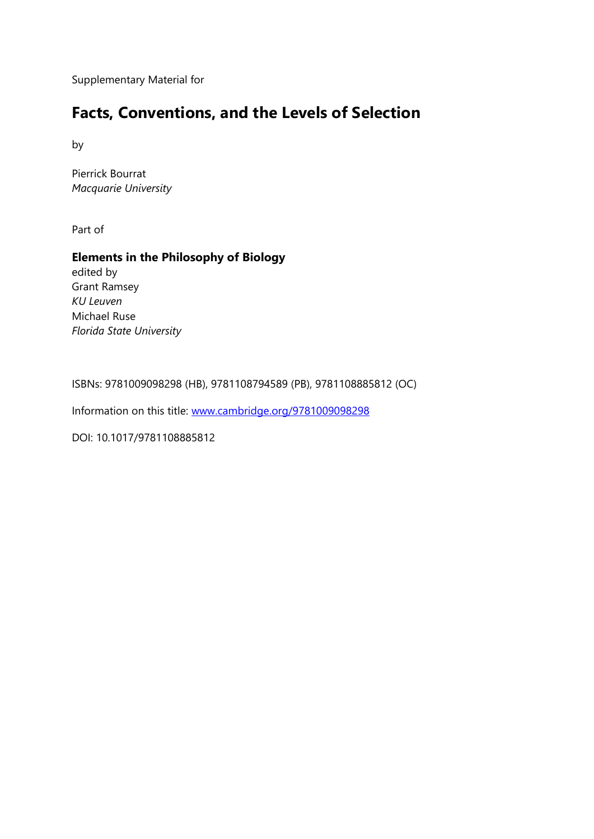Supplementary Material for

### **Facts, Conventions, and the Levels of Selection**

by

Pierrick Bourrat *Macquarie University*

Part of

#### **Elements in the Philosophy of Biology**

edited by Grant Ramsey *KU Leuven* Michael Ruse *Florida State University*

ISBNs: 9781009098298 (HB), 9781108794589 (PB), 9781108885812 (OC)

Information on this title: [www.cambridge.org/9781009098298](http://www.cambridge.org/9781009098298)

DOI: 10.1017/9781108885812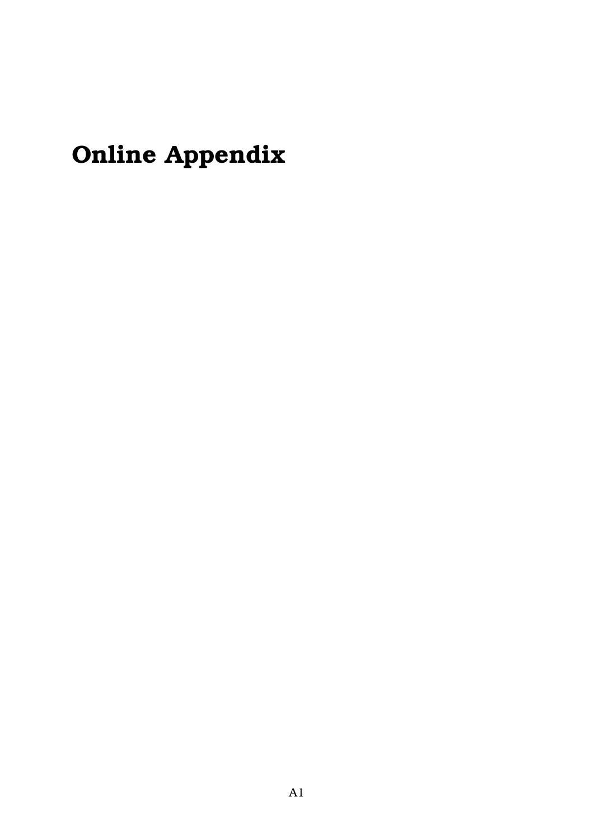# **Online Appendix**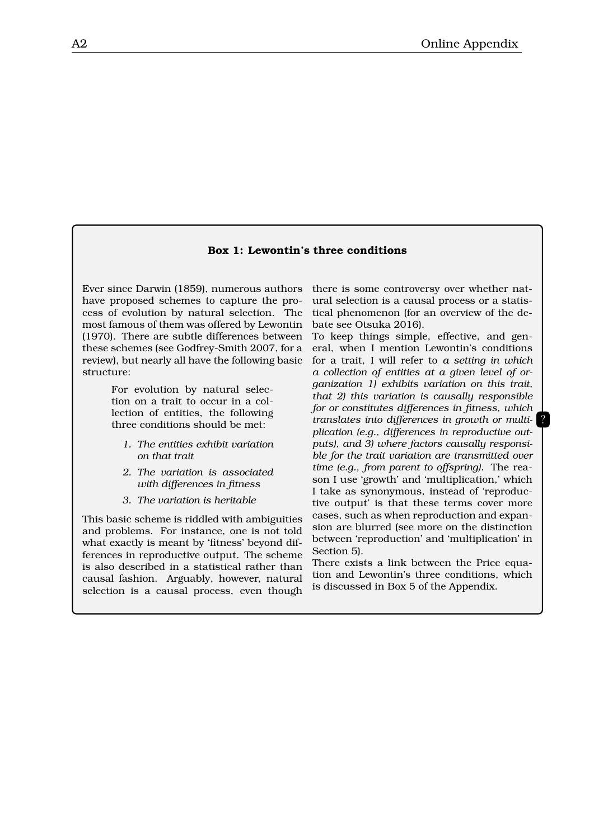#### **Box 1: Lewontin's three conditions**

Ever since Darwin (1859), numerous authors have proposed schemes to capture the process of evolution by natural selection. The most famous of them was offered by Lewontin (1970). There are subtle differences between these schemes (see Godfrey-Smith 2007, for a review), but nearly all have the following basic structure:

> For evolution by natural selection on a trait to occur in a collection of entities, the following three conditions should be met:

- *1. The entities exhibit variation on that trait*
- *2. The variation is associated with differences in fitness*
- *3. The variation is heritable*

This basic scheme is riddled with ambiguities and problems. For instance, one is not told what exactly is meant by 'fitness' beyond differences in reproductive output. The scheme is also described in a statistical rather than causal fashion. Arguably, however, natural selection is a causal process, even though

there is some controversy over whether natural selection is a causal process or a statistical phenomenon (for an overview of the debate see Otsuka 2016).

To keep things simple, effective, and general, when I mention Lewontin's conditions for a trait, I will refer to *a setting in which a collection of entities at a given level of organization 1) exhibits variation on this trait, that 2) this variation is causally responsible for or constitutes differences in fitness, which translates into differences in growth or multiplication (e.g., differences in reproductive outputs), and 3) where factors causally responsible for the trait variation are transmitted over time (e.g., from parent to offspring).* The reason I use 'growth' and 'multiplication,' which I take as synonymous, instead of 'reproductive output' is that these terms cover more cases, such as when reproduction and expansion are blurred (see more on the distinction between 'reproduction' and 'multiplication' in Section 5).

?

There exists a link between the Price equation and Lewontin's three conditions, which is discussed in Box 5 of the Appendix.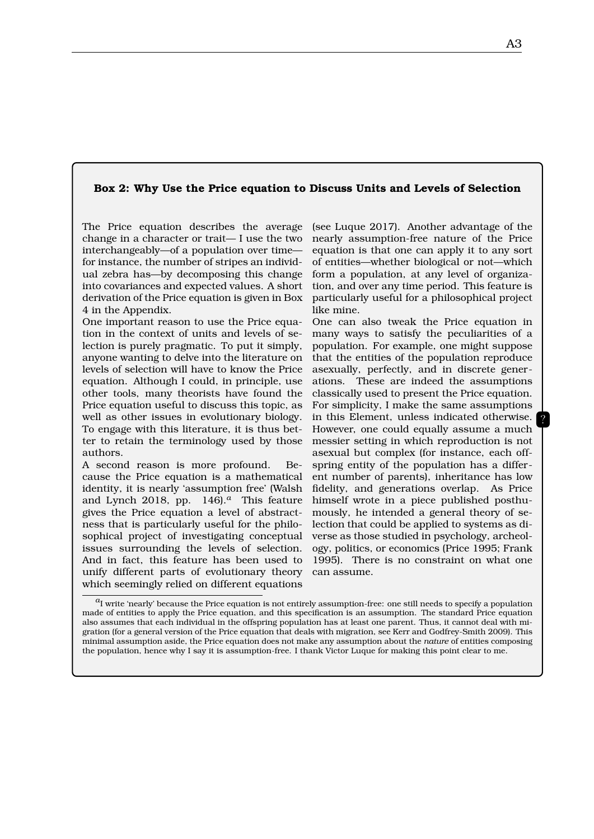#### **Box 2: Why Use the Price equation to Discuss Units and Levels of Selection**

The Price equation describes the average change in a character or trait— I use the two interchangeably—of a population over time for instance, the number of stripes an individual zebra has—by decomposing this change into covariances and expected values. A short derivation of the Price equation is given in Box 4 in the Appendix.

One important reason to use the Price equation in the context of units and levels of selection is purely pragmatic. To put it simply, anyone wanting to delve into the literature on levels of selection will have to know the Price equation. Although I could, in principle, use other tools, many theorists have found the Price equation useful to discuss this topic, as well as other issues in evolutionary biology. To engage with this literature, it is thus better to retain the terminology used by those authors.

A second reason is more profound. Because the Price equation is a mathematical identity, it is nearly 'assumption free' (Walsh and Lynch 2018, pp. 146).*a* This feature gives the Price equation a level of abstractness that is particularly useful for the philosophical project of investigating conceptual issues surrounding the levels of selection. And in fact, this feature has been used to unify different parts of evolutionary theory which seemingly relied on different equations

(see Luque 2017). Another advantage of the nearly assumption-free nature of the Price equation is that one can apply it to any sort of entities—whether biological or not—which form a population, at any level of organization, and over any time period. This feature is particularly useful for a philosophical project like mine.

One can also tweak the Price equation in many ways to satisfy the peculiarities of a population. For example, one might suppose that the entities of the population reproduce asexually, perfectly, and in discrete generations. These are indeed the assumptions classically used to present the Price equation. For simplicity, I make the same assumptions in this Element, unless indicated otherwise. However, one could equally assume a much messier setting in which reproduction is not asexual but complex (for instance, each offspring entity of the population has a different number of parents), inheritance has low fidelity, and generations overlap. As Price himself wrote in a piece published posthumously, he intended a general theory of selection that could be applied to systems as diverse as those studied in psychology, archeology, politics, or economics (Price 1995; Frank 1995). There is no constraint on what one can assume.

*a* I write 'nearly' because the Price equation is not entirely assumption-free: one still needs to specify a population made of entities to apply the Price equation, and this specification is an assumption. The standard Price equation also assumes that each individual in the offspring population has at least one parent. Thus, it cannot deal with migration (for a general version of the Price equation that deals with migration, see Kerr and Godfrey-Smith 2009). This minimal assumption aside, the Price equation does not make any assumption about the *nature* of entities composing the population, hence why I say it is assumption-free. I thank Victor Luque for making this point clear to me.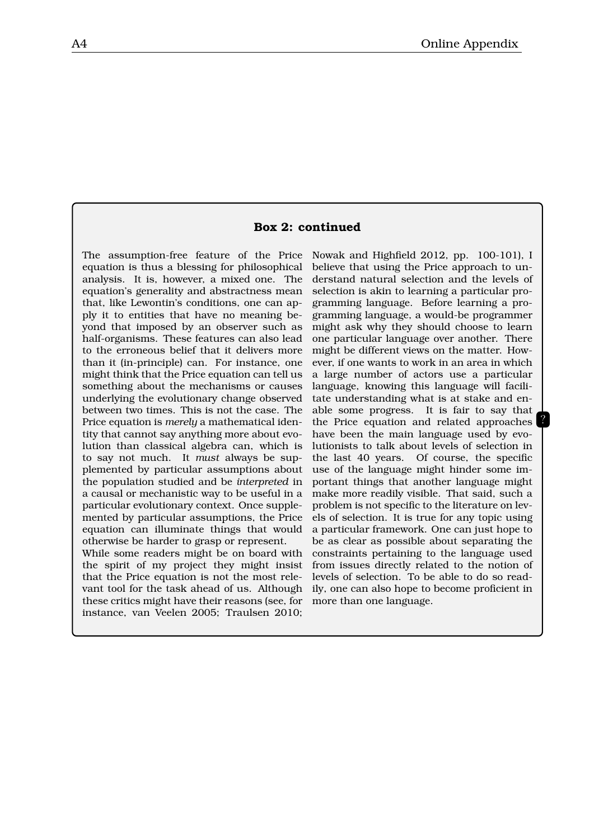#### **Box 2: continued**

The assumption-free feature of the Price equation is thus a blessing for philosophical analysis. It is, however, a mixed one. The equation's generality and abstractness mean that, like Lewontin's conditions, one can apply it to entities that have no meaning beyond that imposed by an observer such as half-organisms. These features can also lead to the erroneous belief that it delivers more than it (in-principle) can. For instance, one might think that the Price equation can tell us something about the mechanisms or causes underlying the evolutionary change observed between two times. This is not the case. The Price equation is *merely* a mathematical identity that cannot say anything more about evolution than classical algebra can, which is to say not much. It *must* always be supplemented by particular assumptions about the population studied and be *interpreted* in a causal or mechanistic way to be useful in a particular evolutionary context. Once supplemented by particular assumptions, the Price equation can illuminate things that would otherwise be harder to grasp or represent.

While some readers might be on board with the spirit of my project they might insist that the Price equation is not the most relevant tool for the task ahead of us. Although these critics might have their reasons (see, for instance, van Veelen 2005; Traulsen 2010; Nowak and Highfield 2012, pp. 100-101), I believe that using the Price approach to understand natural selection and the levels of selection is akin to learning a particular programming language. Before learning a programming language, a would-be programmer might ask why they should choose to learn one particular language over another. There might be different views on the matter. However, if one wants to work in an area in which a large number of actors use a particular language, knowing this language will facilitate understanding what is at stake and enable some progress. It is fair to say that the Price equation and related approaches have been the main language used by evolutionists to talk about levels of selection in the last 40 years. Of course, the specific use of the language might hinder some important things that another language might make more readily visible. That said, such a problem is not specific to the literature on levels of selection. It is true for any topic using a particular framework. One can just hope to be as clear as possible about separating the constraints pertaining to the language used from issues directly related to the notion of levels of selection. To be able to do so readily, one can also hope to become proficient in more than one language.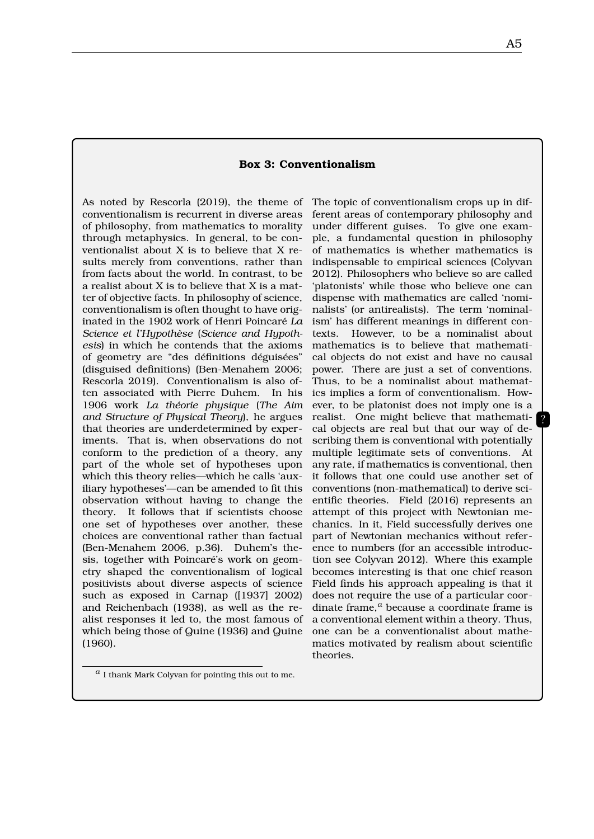#### **Box 3: Conventionalism**

As noted by Rescorla (2019), the theme of The topic of conventionalism crops up in difconventionalism is recurrent in diverse areas of philosophy, from mathematics to morality through metaphysics. In general, to be conventionalist about X is to believe that X results merely from conventions, rather than from facts about the world. In contrast, to be a realist about X is to believe that X is a matter of objective facts. In philosophy of science, conventionalism is often thought to have originated in the 1902 work of Henri Poincaré *La Science et l'Hypothèse* (*Science and Hypothesis*) in which he contends that the axioms of geometry are "des définitions déguisées" (disguised definitions) (Ben-Menahem 2006; Rescorla 2019). Conventionalism is also often associated with Pierre Duhem. In his 1906 work *La théorie physique* (*The Aim and Structure of Physical Theory*), he argues that theories are underdetermined by experiments. That is, when observations do not conform to the prediction of a theory, any part of the whole set of hypotheses upon which this theory relies—which he calls 'auxiliary hypotheses'—can be amended to fit this observation without having to change the theory. It follows that if scientists choose one set of hypotheses over another, these choices are conventional rather than factual (Ben-Menahem 2006, p.36). Duhem's thesis, together with Poincaré's work on geometry shaped the conventionalism of logical positivists about diverse aspects of science such as exposed in Carnap ([1937] 2002) and Reichenbach (1938), as well as the realist responses it led to, the most famous of which being those of Quine (1936) and Quine (1960).

ferent areas of contemporary philosophy and under different guises. To give one example, a fundamental question in philosophy of mathematics is whether mathematics is indispensable to empirical sciences (Colyvan 2012). Philosophers who believe so are called 'platonists' while those who believe one can dispense with mathematics are called 'nominalists' (or antirealists). The term 'nominalism' has different meanings in different contexts. However, to be a nominalist about mathematics is to believe that mathematical objects do not exist and have no causal power. There are just a set of conventions. Thus, to be a nominalist about mathematics implies a form of conventionalism. However, to be platonist does not imply one is a realist. One might believe that mathematical objects are real but that our way of describing them is conventional with potentially multiple legitimate sets of conventions. At any rate, if mathematics is conventional, then it follows that one could use another set of conventions (non-mathematical) to derive scientific theories. Field (2016) represents an attempt of this project with Newtonian mechanics. In it, Field successfully derives one part of Newtonian mechanics without reference to numbers (for an accessible introduction see Colyvan 2012). Where this example becomes interesting is that one chief reason Field finds his approach appealing is that it does not require the use of a particular coordinate frame,*a* because a coordinate frame is a conventional element within a theory. Thus, one can be a conventionalist about mathematics motivated by realism about scientific theories.

*a* I thank Mark Colyvan for pointing this out to me.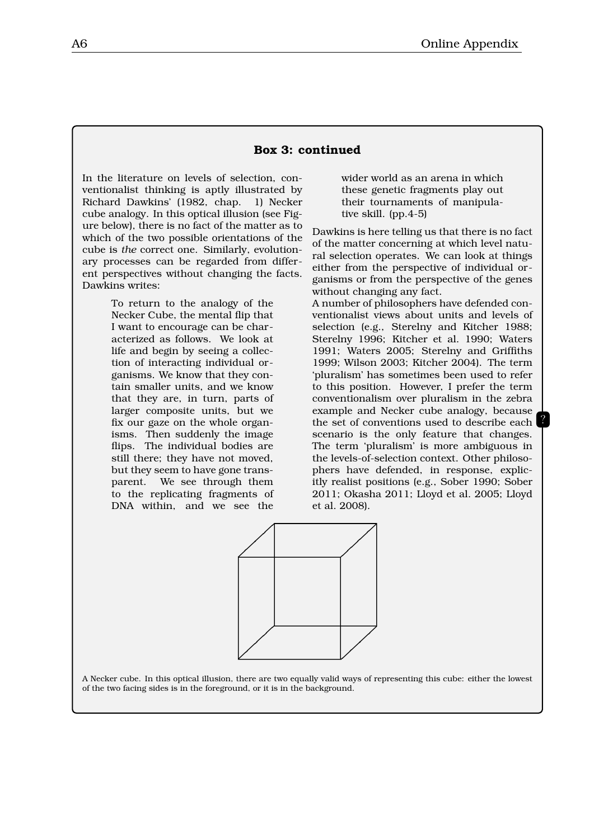#### **Box 3: continued**

In the literature on levels of selection, conventionalist thinking is aptly illustrated by Richard Dawkins' (1982, chap. 1) Necker cube analogy. In this optical illusion (see Figure below), there is no fact of the matter as to which of the two possible orientations of the cube is *the* correct one. Similarly, evolutionary processes can be regarded from different perspectives without changing the facts. Dawkins writes:

> To return to the analogy of the Necker Cube, the mental flip that I want to encourage can be characterized as follows. We look at life and begin by seeing a collection of interacting individual organisms. We know that they contain smaller units, and we know that they are, in turn, parts of larger composite units, but we fix our gaze on the whole organisms. Then suddenly the image flips. The individual bodies are still there; they have not moved, but they seem to have gone transparent. We see through them to the replicating fragments of DNA within, and we see the

wider world as an arena in which these genetic fragments play out their tournaments of manipulative skill. (pp.4-5)

Dawkins is here telling us that there is no fact of the matter concerning at which level natural selection operates. We can look at things either from the perspective of individual organisms or from the perspective of the genes without changing any fact.

A number of philosophers have defended conventionalist views about units and levels of selection (e.g., Sterelny and Kitcher 1988; Sterelny 1996; Kitcher et al. 1990; Waters 1991; Waters 2005; Sterelny and Griffiths 1999; Wilson 2003; Kitcher 2004). The term 'pluralism' has sometimes been used to refer to this position. However, I prefer the term conventionalism over pluralism in the zebra example and Necker cube analogy, because the set of conventions used to describe each scenario is the only feature that changes. The term 'pluralism' is more ambiguous in the levels-of-selection context. Other philosophers have defended, in response, explicitly realist positions (e.g., Sober 1990; Sober 2011; Okasha 2011; Lloyd et al. 2005; Lloyd et al. 2008).

?



A Necker cube. In this optical illusion, there are two equally valid ways of representing this cube: either the lowest of the two facing sides is in the foreground, or it is in the background.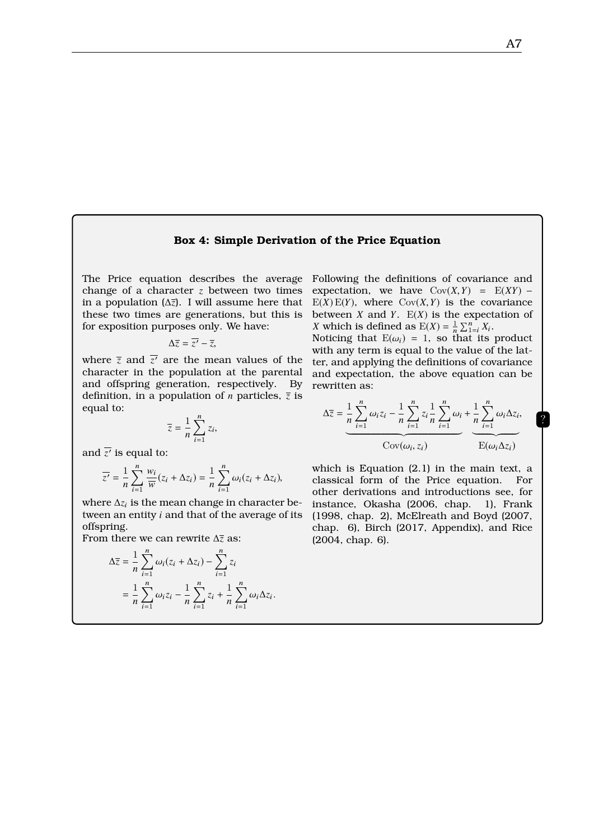#### **Box 4: Simple Derivation of the Price Equation**

The Price equation describes the average change of a character *z* between two times in a population (∆*z*). I will assume here that these two times are generations, but this is for exposition purposes only. We have:

$$
\Delta \overline{z} = \overline{z'} - \overline{z},
$$

where  $\overline{z}$  and  $\overline{z'}$  are the mean values of the character in the population at the parental and offspring generation, respectively. By definition, in a population of *n* particles,  $\overline{z}$  is equal to:

$$
\overline{z} = \frac{1}{n} \sum_{i=1}^{n} z_i,
$$

and  $\overline{z'}$  is equal to:

$$
\overline{z'} = \frac{1}{n} \sum_{i=1}^{n} \frac{w_i}{\overline{w}} (z_i + \Delta z_i) = \frac{1}{n} \sum_{i=1}^{n} \omega_i (z_i + \Delta z_i),
$$

where  $\Delta z_i$  is the mean change in character between an entity *i* and that of the average of its offspring.

From there we can rewrite ∆*z* as:

$$
\Delta \overline{z} = \frac{1}{n} \sum_{i=1}^n \omega_i (z_i + \Delta z_i) - \sum_{i=1}^n z_i
$$
  
= 
$$
\frac{1}{n} \sum_{i=1}^n \omega_i z_i - \frac{1}{n} \sum_{i=1}^n z_i + \frac{1}{n} \sum_{i=1}^n \omega_i \Delta z_i.
$$

Following the definitions of covariance and expectation, we have  $Cov(X, Y) = E(XY)$  −  $E(X) E(Y)$ , where  $Cov(X, Y)$  is the covariance between *X* and *Y*.  $E(X)$  is the expectation of *X* which is defined as  $E(X) = \frac{1}{n} \sum_{i=1}^{n} X_i$ .

Noticing that  $E(\omega_i) = 1$ , so that its product with any term is equal to the value of the latter, and applying the definitions of covariance and expectation, the above equation can be rewritten as:

$$
\Delta \overline{z} = \underbrace{\frac{1}{n} \sum_{i=1}^{n} \omega_i z_i}_{\text{Cov}(\omega_i, z_i)} - \underbrace{\frac{1}{n} \sum_{i=1}^{n} z_i \frac{1}{n} \sum_{i=1}^{n} \omega_i}_{\text{Cov}(\omega_i, z_i)} + \underbrace{\frac{1}{n} \sum_{i=1}^{n} \omega_i \Delta z_i}_{\text{E}(\omega_i \Delta z_i)}
$$

which is Equation (2.1) in the main text, a classical form of the Price equation. For other derivations and introductions see, for instance, Okasha (2006, chap. 1), Frank (1998, chap. 2), McElreath and Boyd (2007, chap. 6), Birch (2017, Appendix), and Rice (2004, chap. 6).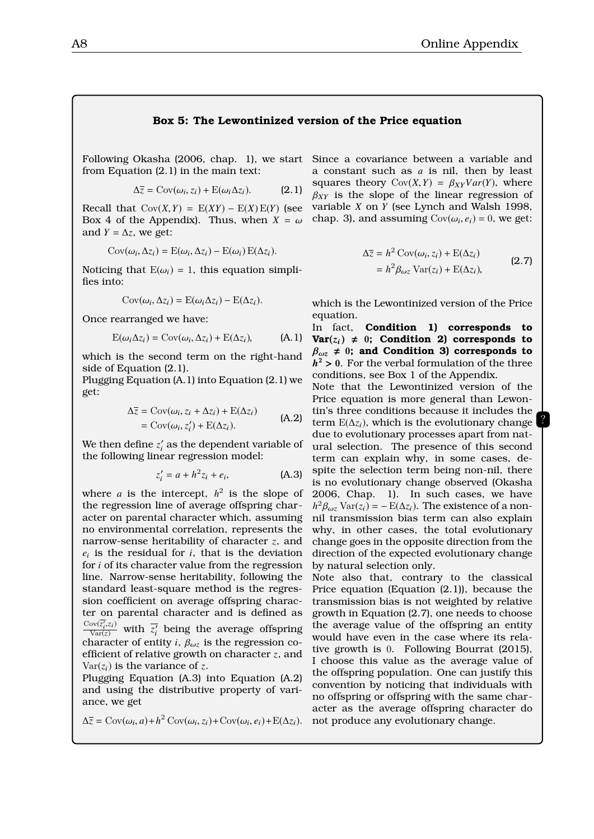#### **Box 5: The Lewontinized version of the Price equation**

Following Okasha (2006, chap. 1), we start Since a covariance between a variable and from Equation (2.1) in the main text:

$$
\Delta \overline{z} = \text{Cov}(\omega_i, z_i) + \text{E}(\omega_i \Delta z_i). \tag{2.1}
$$

Recall that  $Cov(X, Y) = E(XY) - E(X)E(Y)$  (see Box 4 of the Appendix). Thus, when  $X = \omega$ and  $Y = \Delta z$ , we get:

$$
Cov(\omega_i, \Delta z_i) = E(\omega_i, \Delta z_i) - E(\omega_i) E(\Delta z_i).
$$

Noticing that  $E(\omega_i) = 1$ , this equation simplifies into:

$$
Cov(\omega_i, \Delta z_i) = E(\omega_i \Delta z_i) - E(\Delta z_i).
$$

Once rearranged we have:

$$
E(\omega_i \Delta z_i) = \text{Cov}(\omega_i, \Delta z_i) + E(\Delta z_i), \tag{A.1}
$$

which is the second term on the right-hand side of Equation (2.1).

Plugging Equation (A.1) into Equation (2.1) we get:

$$
\Delta \overline{z} = \text{Cov}(\omega_i, z_i + \Delta z_i) + \text{E}(\Delta z_i)
$$
  
=  $\text{Cov}(\omega_i, z'_i) + \text{E}(\Delta z_i).$  (A.2)

We then define  $z_i'$  as the dependent variable of the following linear regression model:

$$
z_i' = a + h^2 z_i + e_i,
$$
 (A.3)

where *a* is the intercept,  $h^2$  is the slope of the regression line of average offspring character on parental character which, assuming no environmental correlation, represents the narrow-sense heritability of character *z*, and  $e_i$  is the residual for  $i$ , that is the deviation for *i* of its character value from the regression line. Narrow-sense heritability, following the standard least-square method is the regression coefficient on average offspring character on parental character and is defined as  $\frac{\text{Cov}(\overline{z'_i},z_i)}{\text{Var}(z)}$  with  $\overline{z'_i}$  being the average offspring character of entity *i*,  $\beta_{\omega z}$  is the regression coefficient of relative growth on character *z*, and  $Var(z_i)$  is the variance of *z*.

Plugging Equation (A.3) into Equation (A.2) and using the distributive property of variance, we get

$$
\Delta \overline{z} = \text{Cov}(\omega_i, a) + h^2 \text{Cov}(\omega_i, z_i) + \text{Cov}(\omega_i, e_i) + \text{E}(\Delta z_i).
$$

a constant such as *a* is nil, then by least squares theory  $Cov(X, Y) = \beta_{XY}Var(Y)$ , where  $\beta_{XY}$  is the slope of the linear regression of variable *X* on *Y* (see Lynch and Walsh 1998, chap. 3), and assuming  $Cov(\omega_i, e_i) = 0$ , we get:

$$
\Delta \overline{z} = h^2 \operatorname{Cov}(\omega_i, z_i) + \operatorname{E}(\Delta z_i)
$$
  
=  $h^2 \beta_{\omega z} \operatorname{Var}(z_i) + \operatorname{E}(\Delta z_i),$  (2.7)

?

which is the Lewontinized version of the Price equation.

In fact, **Condition 1) corresponds to**  $Var(z_i) \neq 0$ ; Condition 2) corresponds to  $\beta_{\omega z} \neq 0$ ; and Condition 3) corresponds to  $h^2 > 0$ . For the verbal formulation of the three<br>conditions see Box 1 of the Appendix conditions, see Box 1 of the Appendix.

Note that the Lewontinized version of the Price equation is more general than Lewontin's three conditions because it includes the term  $E(\Delta z_i)$ , which is the evolutionary change due to evolutionary processes apart from natural selection. The presence of this second term can explain why, in some cases, despite the selection term being non-nil, there is no evolutionary change observed (Okasha 2006, Chap. 1). In such cases, we have  $h^2 \beta_{\omega z}$  Var( $z_i$ ) = −E( $\Delta z_i$ ). The existence of a non-<br>nil transmission bias term can also explain nil transmission bias term can also explain why, in other cases, the total evolutionary change goes in the opposite direction from the direction of the expected evolutionary change by natural selection only.

Note also that, contrary to the classical Price equation (Equation (2.1)), because the transmission bias is not weighted by relative growth in Equation (2.7), one needs to choose the average value of the offspring an entity would have even in the case where its relative growth is 0. Following Bourrat (2015), I choose this value as the average value of the offspring population. One can justify this convention by noticing that individuals with no offspring or offspring with the same character as the average offspring character do not produce any evolutionary change.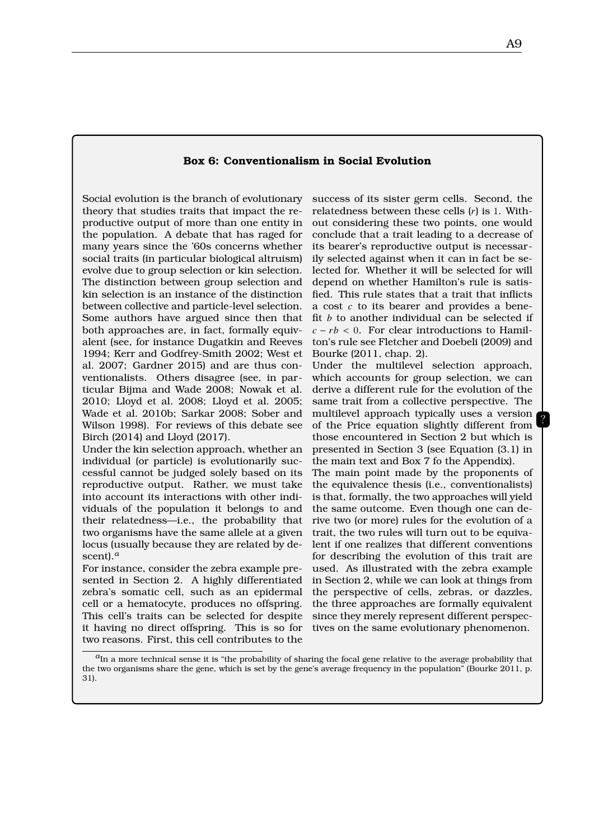#### **Box 6: Conventionalism in Social Evolution**

Social evolution is the branch of evolutionary theory that studies traits that impact the reproductive output of more than one entity in the population. A debate that has raged for many years since the '60s concerns whether social traits (in particular biological altruism) evolve due to group selection or kin selection. The distinction between group selection and kin selection is an instance of the distinction between collective and particle-level selection. Some authors have argued since then that both approaches are, in fact, formally equivalent (see, for instance Dugatkin and Reeves 1994; Kerr and Godfrey-Smith 2002; West et al. 2007; Gardner 2015) and are thus conventionalists. Others disagree (see, in particular Bijma and Wade 2008; Nowak et al. 2010; Lloyd et al. 2008; Lloyd et al. 2005; Wade et al. 2010b; Sarkar 2008; Sober and Wilson 1998). For reviews of this debate see Birch (2014) and Lloyd (2017).

Under the kin selection approach, whether an individual (or particle) is evolutionarily successful cannot be judged solely based on its reproductive output. Rather, we must take into account its interactions with other individuals of the population it belongs to and their relatedness—i.e., the probability that two organisms have the same allele at a given locus (usually because they are related by descent).*a*

For instance, consider the zebra example presented in Section 2. A highly differentiated zebra's somatic cell, such as an epidermal cell or a hematocyte, produces no offspring. This cell's traits can be selected for despite it having no direct offspring. This is so for two reasons. First, this cell contributes to the success of its sister germ cells. Second, the relatedness between these cells (*r*) is 1. Without considering these two points, one would conclude that a trait leading to a decrease of its bearer's reproductive output is necessarily selected against when it can in fact be selected for. Whether it will be selected for will depend on whether Hamilton's rule is satisfied. This rule states that a trait that inflicts a cost *c* to its bearer and provides a benefit *b* to another individual can be selected if  $c - rb < 0$ . For clear introductions to Hamilton's rule see Fletcher and Doebeli (2009) and Bourke (2011, chap. 2).

Under the multilevel selection approach, which accounts for group selection, we can derive a different rule for the evolution of the same trait from a collective perspective. The multilevel approach typically uses a version of the Price equation slightly different from those encountered in Section 2 but which is presented in Section 3 (see Equation (3.1) in the main text and Box 7 fo the Appendix). The main point made by the proponents of the equivalence thesis (i.e., conventionalists) is that, formally, the two approaches will yield the same outcome. Even though one can derive two (or more) rules for the evolution of a trait, the two rules will turn out to be equivalent if one realizes that different conventions for describing the evolution of this trait are used. As illustrated with the zebra example in Section 2, while we can look at things from the perspective of cells, zebras, or dazzles, the three approaches are formally equivalent since they merely represent different perspectives on the same evolutionary phenomenon.

 $a_{\rm In}$  a more technical sense it is "the probability of sharing the focal gene relative to the average probability that the two organisms share the gene, which is set by the gene's average frequency in the population" (Bourke 2011, p. 31).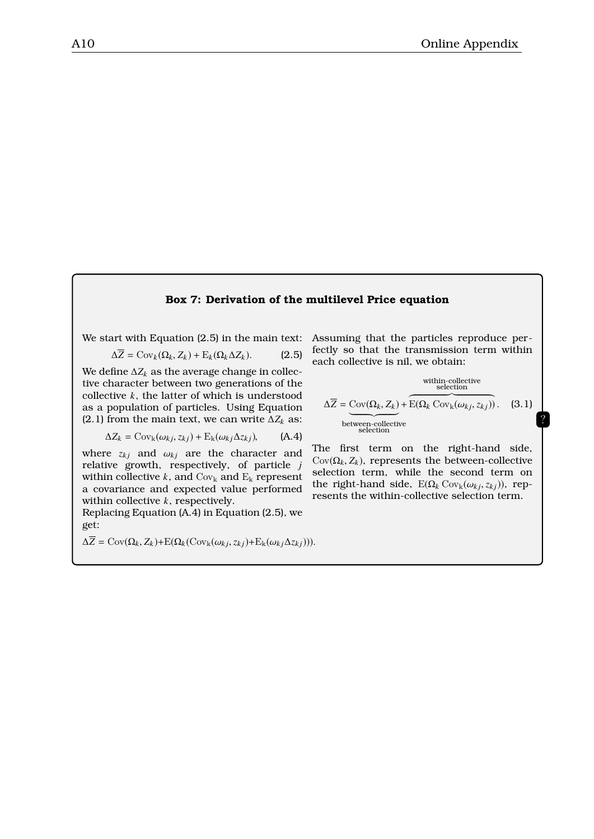#### **Box 7: Derivation of the multilevel Price equation**

We start with Equation (2.5) in the main text:

$$
\Delta Z = \text{Cov}_k(\Omega_k, Z_k) + \text{E}_k(\Omega_k \Delta Z_k). \tag{2.5}
$$

We define  $\Delta Z_k$  as the average change in collective character between two generations of the collective *k*, the latter of which is understood as a population of particles. Using Equation (2.1) from the main text, we can write  $\Delta Z_k$  as:

$$
\Delta Z_k = \text{Cov}_k(\omega_{kj}, z_{kj}) + \text{E}_k(\omega_{kj}\Delta z_{kj}), \tag{A.4}
$$

where  $z_{kj}$  and  $\omega_{kj}$  are the character and relative growth respectively of particle is relative growth, respectively, of particle *j* within collective  $k$ , and  $Cov_k$  and  $E_k$  represent a covariance and expected value performed within collective *k*, respectively.

Replacing Equation (A.4) in Equation (2.5), we get:

$$
\Delta \overline{Z} = \text{Cov}(\Omega_k, Z_k) + \text{E}(\Omega_k(\text{Cov}_k(\omega_{kj}, z_{kj}) + \text{E}_k(\omega_{kj}\Delta z_{kj}))).
$$

Assuming that the particles reproduce perfectly so that the transmission term within each collective is nil, we obtain:

$$
\Delta \overline{Z} = \underbrace{\text{Cov}(\Omega_k, Z_k)}_{\text{between-collective}} + \underbrace{\overbrace{\text{E}(\Omega_k \text{ Cov}_k(\omega_{kj}, z_{kj}))}^{\text{within-collective}})}_{\text{selection}}.
$$
 (3.1)

?

The first term on the right-hand side,  $Cov(\Omega_k, Z_k)$ , represents the between-collective selection term, while the second term on the right-hand side,  $E(\Omega_k \text{Cov}_k(\omega_{kj}, z_{kj}))$ , represents the within-collective selection term.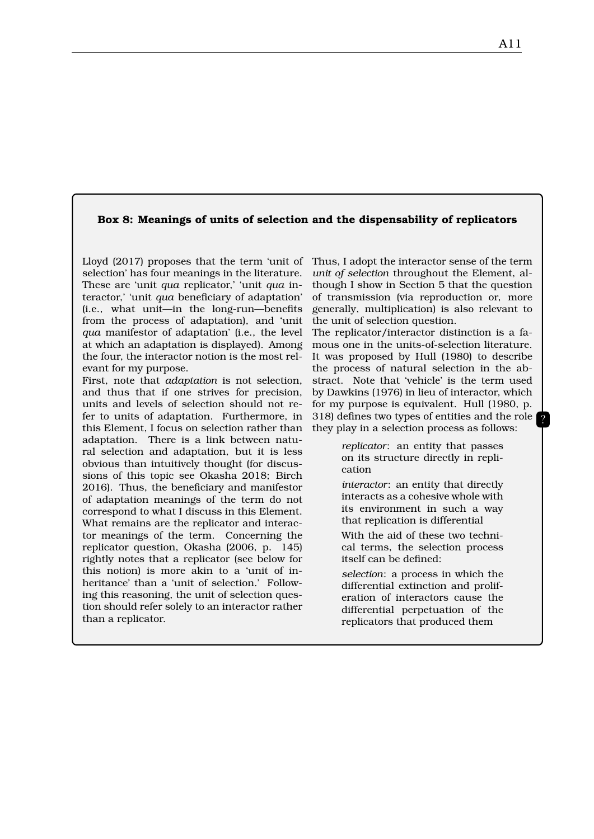#### **Box 8: Meanings of units of selection and the dispensability of replicators**

Lloyd (2017) proposes that the term 'unit of Thus, I adopt the interactor sense of the term selection' has four meanings in the literature. These are 'unit *qua* replicator,' 'unit *qua* interactor,' 'unit *qua* beneficiary of adaptation' (i.e., what unit—in the long-run—benefits from the process of adaptation), and 'unit *qua* manifestor of adaptation' (i.e., the level at which an adaptation is displayed). Among the four, the interactor notion is the most relevant for my purpose.

First, note that *adaptation* is not selection, and thus that if one strives for precision, units and levels of selection should not refer to units of adaptation. Furthermore, in this Element, I focus on selection rather than adaptation. There is a link between natural selection and adaptation, but it is less obvious than intuitively thought (for discussions of this topic see Okasha 2018; Birch 2016). Thus, the beneficiary and manifestor of adaptation meanings of the term do not correspond to what I discuss in this Element. What remains are the replicator and interactor meanings of the term. Concerning the replicator question, Okasha (2006, p. 145) rightly notes that a replicator (see below for this notion) is more akin to a 'unit of inheritance' than a 'unit of selection.' Following this reasoning, the unit of selection question should refer solely to an interactor rather than a replicator.

*unit of selection* throughout the Element, although I show in Section 5 that the question of transmission (via reproduction or, more generally, multiplication) is also relevant to the unit of selection question.

The replicator/interactor distinction is a famous one in the units-of-selection literature. It was proposed by Hull (1980) to describe the process of natural selection in the abstract. Note that 'vehicle' is the term used by Dawkins (1976) in lieu of interactor, which for my purpose is equivalent. Hull (1980, p. 318) defines two types of entities and the role they play in a selection process as follows:

> *replicator*: an entity that passes on its structure directly in replication

> *interactor*: an entity that directly interacts as a cohesive whole with its environment in such a way that replication is differential

> With the aid of these two technical terms, the selection process itself can be defined:

> *selection*: a process in which the differential extinction and proliferation of interactors cause the differential perpetuation of the replicators that produced them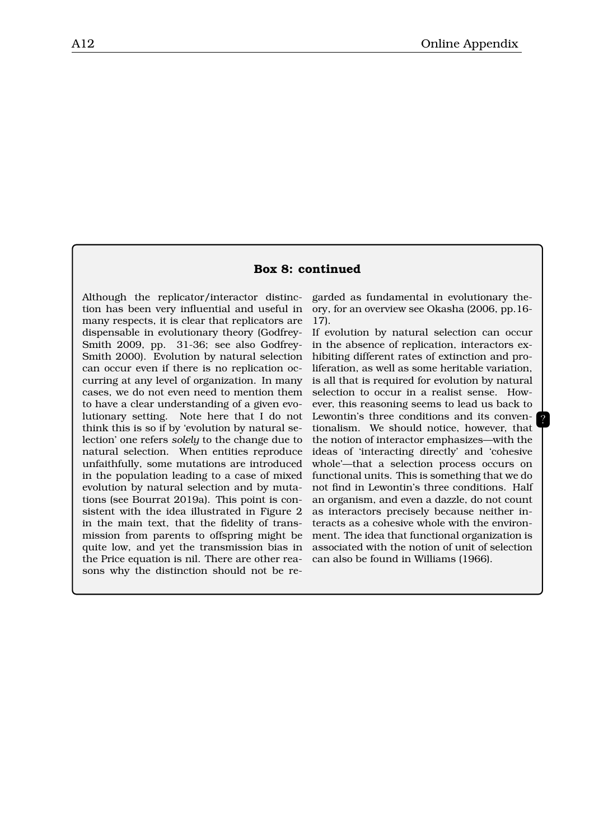#### **Box 8: continued**

Although the replicator/interactor distinction has been very influential and useful in many respects, it is clear that replicators are dispensable in evolutionary theory (Godfrey-Smith 2009, pp. 31-36; see also Godfrey-Smith 2000). Evolution by natural selection can occur even if there is no replication occurring at any level of organization. In many cases, we do not even need to mention them to have a clear understanding of a given evolutionary setting. Note here that I do not think this is so if by 'evolution by natural selection' one refers *solely* to the change due to natural selection. When entities reproduce unfaithfully, some mutations are introduced in the population leading to a case of mixed evolution by natural selection and by mutations (see Bourrat 2019a). This point is consistent with the idea illustrated in Figure 2 in the main text, that the fidelity of transmission from parents to offspring might be quite low, and yet the transmission bias in the Price equation is nil. There are other reasons why the distinction should not be re-

garded as fundamental in evolutionary theory, for an overview see Okasha (2006, pp.16- 17).

If evolution by natural selection can occur in the absence of replication, interactors exhibiting different rates of extinction and proliferation, as well as some heritable variation, is all that is required for evolution by natural selection to occur in a realist sense. However, this reasoning seems to lead us back to Lewontin's three conditions and its conventionalism. We should notice, however, that the notion of interactor emphasizes—with the ideas of 'interacting directly' and 'cohesive whole'—that a selection process occurs on functional units. This is something that we do not find in Lewontin's three conditions. Half an organism, and even a dazzle, do not count as interactors precisely because neither interacts as a cohesive whole with the environment. The idea that functional organization is associated with the notion of unit of selection can also be found in Williams (1966).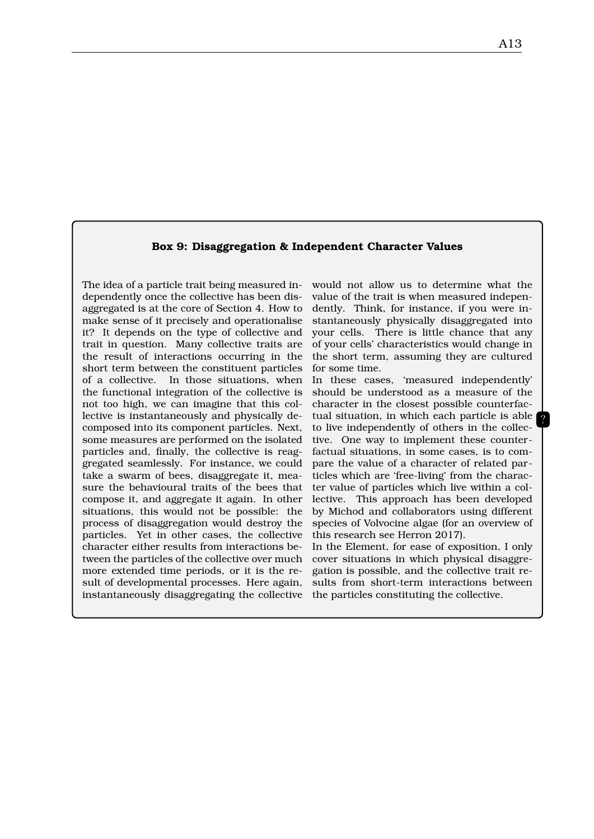#### **Box 9: Disaggregation & Independent Character Values**

The idea of a particle trait being measured independently once the collective has been disaggregated is at the core of Section 4. How to make sense of it precisely and operationalise it? It depends on the type of collective and trait in question. Many collective traits are the result of interactions occurring in the short term between the constituent particles of a collective. In those situations, when the functional integration of the collective is not too high, we can imagine that this collective is instantaneously and physically decomposed into its component particles. Next, some measures are performed on the isolated particles and, finally, the collective is reaggregated seamlessly. For instance, we could take a swarm of bees, disaggregate it, measure the behavioural traits of the bees that compose it, and aggregate it again. In other situations, this would not be possible: the process of disaggregation would destroy the particles. Yet in other cases, the collective character either results from interactions between the particles of the collective over much more extended time periods, or it is the result of developmental processes. Here again, instantaneously disaggregating the collective the particles constituting the collective.

would not allow us to determine what the value of the trait is when measured independently. Think, for instance, if you were instantaneously physically disaggregated into your cells. There is little chance that any of your cells' characteristics would change in the short term, assuming they are cultured for some time.

In these cases, 'measured independently' should be understood as a measure of the character in the closest possible counterfactual situation, in which each particle is able to live independently of others in the collective. One way to implement these counterfactual situations, in some cases, is to compare the value of a character of related particles which are 'free-living' from the character value of particles which live within a collective. This approach has been developed by Michod and collaborators using different species of Volvocine algae (for an overview of this research see Herron 2017).

In the Element, for ease of exposition, I only cover situations in which physical disaggregation is possible, and the collective trait results from short-term interactions between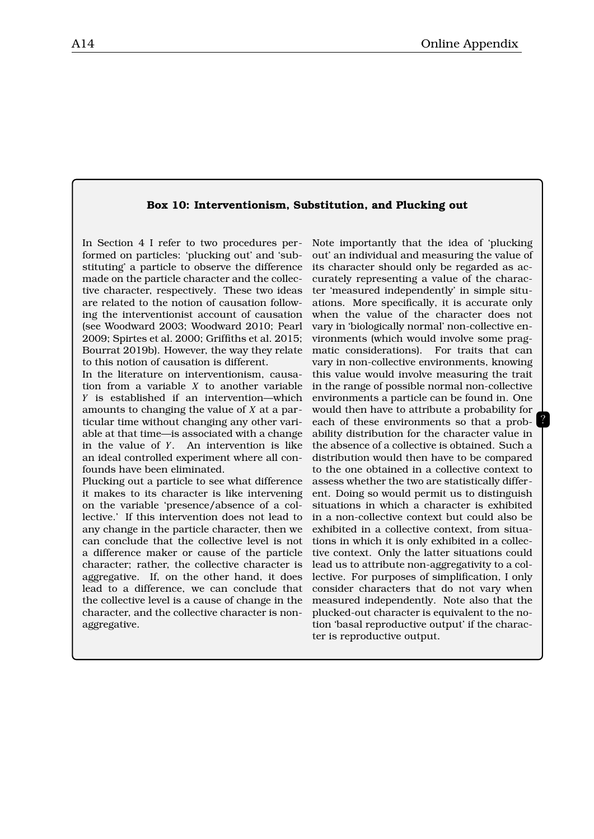#### **Box 10: Interventionism, Substitution, and Plucking out**

In Section 4 I refer to two procedures performed on particles: 'plucking out' and 'substituting' a particle to observe the difference made on the particle character and the collective character, respectively. These two ideas are related to the notion of causation following the interventionist account of causation (see Woodward 2003; Woodward 2010; Pearl 2009; Spirtes et al. 2000; Griffiths et al. 2015; Bourrat 2019b). However, the way they relate to this notion of causation is different.

In the literature on interventionism, causation from a variable *X* to another variable *Y* is established if an intervention—which amounts to changing the value of *X* at a particular time without changing any other variable at that time—is associated with a change in the value of *Y*. An intervention is like an ideal controlled experiment where all confounds have been eliminated.

Plucking out a particle to see what difference it makes to its character is like intervening on the variable 'presence/absence of a collective.' If this intervention does not lead to any change in the particle character, then we can conclude that the collective level is not a difference maker or cause of the particle character; rather, the collective character is aggregative. If, on the other hand, it does lead to a difference, we can conclude that the collective level is a cause of change in the character, and the collective character is nonaggregative.

Note importantly that the idea of 'plucking out' an individual and measuring the value of its character should only be regarded as accurately representing a value of the character 'measured independently' in simple situations. More specifically, it is accurate only when the value of the character does not vary in 'biologically normal' non-collective environments (which would involve some pragmatic considerations). For traits that can vary in non-collective environments, knowing this value would involve measuring the trait in the range of possible normal non-collective environments a particle can be found in. One would then have to attribute a probability for each of these environments so that a probability distribution for the character value in the absence of a collective is obtained. Such a distribution would then have to be compared to the one obtained in a collective context to assess whether the two are statistically different. Doing so would permit us to distinguish situations in which a character is exhibited in a non-collective context but could also be exhibited in a collective context, from situations in which it is only exhibited in a collective context. Only the latter situations could lead us to attribute non-aggregativity to a collective. For purposes of simplification, I only consider characters that do not vary when measured independently. Note also that the plucked-out character is equivalent to the notion 'basal reproductive output' if the character is reproductive output.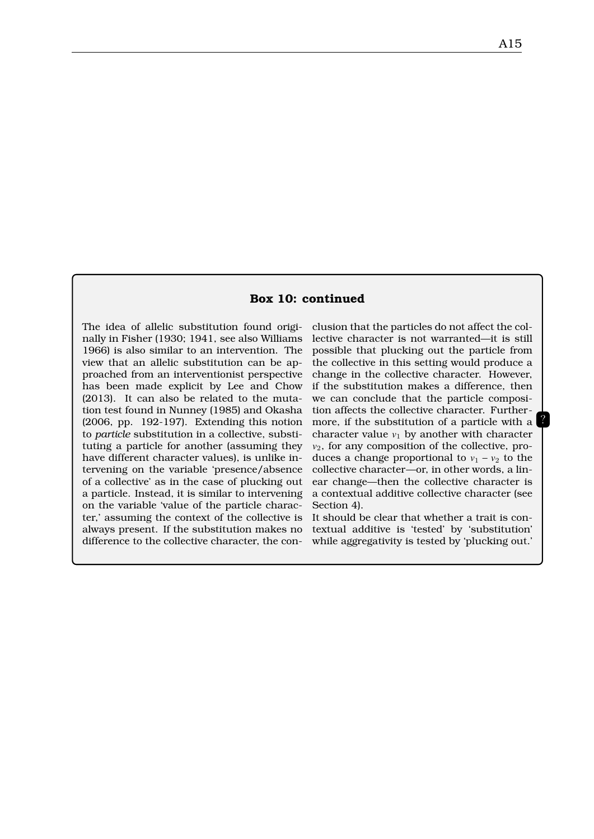#### **Box 10: continued**

The idea of allelic substitution found originally in Fisher (1930; 1941, see also Williams 1966) is also similar to an intervention. The view that an allelic substitution can be approached from an interventionist perspective has been made explicit by Lee and Chow (2013). It can also be related to the mutation test found in Nunney (1985) and Okasha (2006, pp. 192-197). Extending this notion to *particle* substitution in a collective, substituting a particle for another (assuming they have different character values), is unlike intervening on the variable 'presence/absence of a collective' as in the case of plucking out a particle. Instead, it is similar to intervening on the variable 'value of the particle character,' assuming the context of the collective is always present. If the substitution makes no difference to the collective character, the conclusion that the particles do not affect the collective character is not warranted—it is still possible that plucking out the particle from the collective in this setting would produce a change in the collective character. However, if the substitution makes a difference, then we can conclude that the particle composition affects the collective character. Furthermore, if the substitution of a particle with a character value  $v_1$  by another with character  $v_2$ , for any composition of the collective, produces a change proportional to  $v_1 - v_2$  to the collective character—or, in other words, a linear change—then the collective character is a contextual additive collective character (see Section 4).

It should be clear that whether a trait is contextual additive is 'tested' by 'substitution' while aggregativity is tested by 'plucking out.'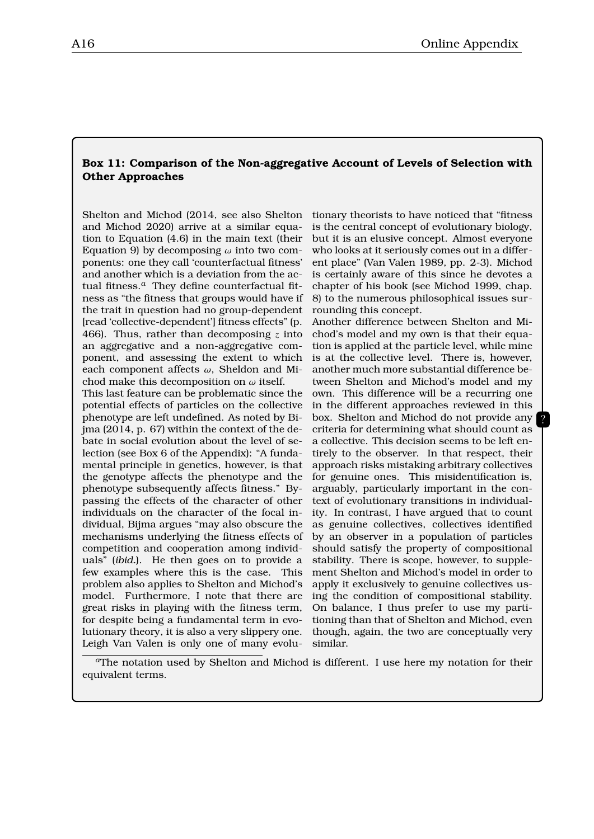#### **Box 11: Comparison of the Non-aggregative Account of Levels of Selection with Other Approaches**

Shelton and Michod (2014, see also Shelton and Michod 2020) arrive at a similar equation to Equation (4.6) in the main text (their Equation 9) by decomposing  $\omega$  into two components: one they call 'counterfactual fitness' and another which is a deviation from the actual fitness.*a* They define counterfactual fitness as "the fitness that groups would have if the trait in question had no group-dependent [read 'collective-dependent'] fitness effects" (p. 466). Thus, rather than decomposing *z* into an aggregative and a non-aggregative component, and assessing the extent to which each component affects  $\omega$ , Sheldon and Michod make this decomposition on  $\omega$  itself.

This last feature can be problematic since the potential effects of particles on the collective phenotype are left undefined. As noted by Bijma (2014, p. 67) within the context of the debate in social evolution about the level of selection (see Box 6 of the Appendix): "A fundamental principle in genetics, however, is that the genotype affects the phenotype and the phenotype subsequently affects fitness." Bypassing the effects of the character of other individuals on the character of the focal individual, Bijma argues "may also obscure the mechanisms underlying the fitness effects of competition and cooperation among individuals" (*ibid.*). He then goes on to provide a few examples where this is the case. This problem also applies to Shelton and Michod's model. Furthermore, I note that there are great risks in playing with the fitness term, for despite being a fundamental term in evolutionary theory, it is also a very slippery one. Leigh Van Valen is only one of many evolutionary theorists to have noticed that "fitness is the central concept of evolutionary biology, but it is an elusive concept. Almost everyone who looks at it seriously comes out in a different place" (Van Valen 1989, pp. 2-3). Michod is certainly aware of this since he devotes a chapter of his book (see Michod 1999, chap. 8) to the numerous philosophical issues surrounding this concept.

Another difference between Shelton and Michod's model and my own is that their equation is applied at the particle level, while mine is at the collective level. There is, however, another much more substantial difference between Shelton and Michod's model and my own. This difference will be a recurring one in the different approaches reviewed in this box. Shelton and Michod do not provide any criteria for determining what should count as a collective. This decision seems to be left entirely to the observer. In that respect, their approach risks mistaking arbitrary collectives for genuine ones. This misidentification is, arguably, particularly important in the context of evolutionary transitions in individuality. In contrast, I have argued that to count as genuine collectives, collectives identified by an observer in a population of particles should satisfy the property of compositional stability. There is scope, however, to supplement Shelton and Michod's model in order to apply it exclusively to genuine collectives using the condition of compositional stability. On balance, I thus prefer to use my partitioning than that of Shelton and Michod, even though, again, the two are conceptually very similar.

?

*<sup>a</sup>*The notation used by Shelton and Michod is different. I use here my notation for their equivalent terms.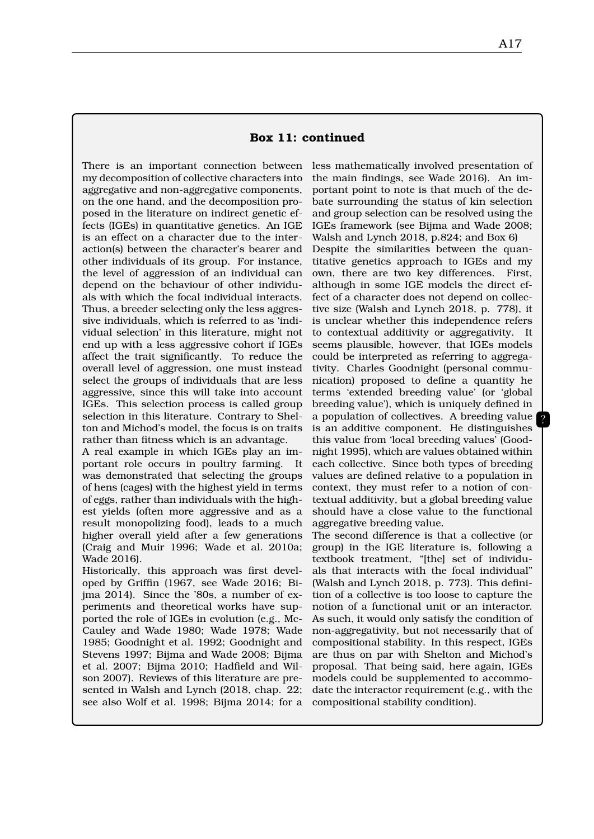There is an important connection between my decomposition of collective characters into aggregative and non-aggregative components, on the one hand, and the decomposition proposed in the literature on indirect genetic effects (IGEs) in quantitative genetics. An IGE is an effect on a character due to the interaction(s) between the character's bearer and other individuals of its group. For instance, the level of aggression of an individual can depend on the behaviour of other individuals with which the focal individual interacts. Thus, a breeder selecting only the less aggressive individuals, which is referred to as 'individual selection' in this literature, might not end up with a less aggressive cohort if IGEs affect the trait significantly. To reduce the overall level of aggression, one must instead select the groups of individuals that are less aggressive, since this will take into account IGEs. This selection process is called group selection in this literature. Contrary to Shelton and Michod's model, the focus is on traits rather than fitness which is an advantage.

A real example in which IGEs play an important role occurs in poultry farming. It was demonstrated that selecting the groups of hens (cages) with the highest yield in terms of eggs, rather than individuals with the highest yields (often more aggressive and as a result monopolizing food), leads to a much higher overall yield after a few generations (Craig and Muir 1996; Wade et al. 2010a; Wade 2016).

Historically, this approach was first developed by Griffin (1967, see Wade 2016; Bijma 2014). Since the '80s, a number of experiments and theoretical works have supported the role of IGEs in evolution (e.g., Mc-Cauley and Wade 1980; Wade 1978; Wade 1985; Goodnight et al. 1992; Goodnight and Stevens 1997; Bijma and Wade 2008; Bijma et al. 2007; Bijma 2010; Hadfield and Wilson 2007). Reviews of this literature are presented in Walsh and Lynch (2018, chap. 22; see also Wolf et al. 1998; Bijma 2014; for a

less mathematically involved presentation of the main findings, see Wade 2016). An important point to note is that much of the debate surrounding the status of kin selection and group selection can be resolved using the IGEs framework (see Bijma and Wade 2008; Walsh and Lynch 2018, p.824; and Box 6) Despite the similarities between the quantitative genetics approach to IGEs and my own, there are two key differences. First, although in some IGE models the direct effect of a character does not depend on collective size (Walsh and Lynch 2018, p. 778), it is unclear whether this independence refers to contextual additivity or aggregativity. It seems plausible, however, that IGEs models could be interpreted as referring to aggregativity. Charles Goodnight (personal communication) proposed to define a quantity he terms 'extended breeding value' (or 'global breeding value'), which is uniquely defined in a population of collectives. A breeding value is an additive component. He distinguishes this value from 'local breeding values' (Goodnight 1995), which are values obtained within each collective. Since both types of breeding values are defined relative to a population in context, they must refer to a notion of contextual additivity, but a global breeding value should have a close value to the functional aggregative breeding value.

The second difference is that a collective (or group) in the IGE literature is, following a textbook treatment, "[the] set of individuals that interacts with the focal individual" (Walsh and Lynch 2018, p. 773). This definition of a collective is too loose to capture the notion of a functional unit or an interactor. As such, it would only satisfy the condition of non-aggregativity, but not necessarily that of compositional stability. In this respect, IGEs are thus on par with Shelton and Michod's proposal. That being said, here again, IGEs models could be supplemented to accommodate the interactor requirement (e.g., with the compositional stability condition).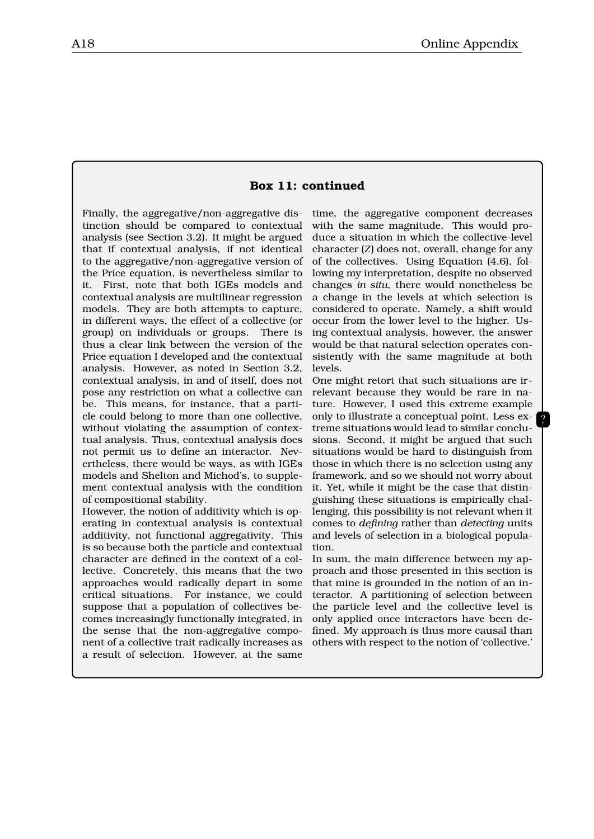#### **Box 11: continued**

Finally, the aggregative/non-aggregative distinction should be compared to contextual analysis (see Section 3.2). It might be argued that if contextual analysis, if not identical to the aggregative/non-aggregative version of the Price equation, is nevertheless similar to it. First, note that both IGEs models and contextual analysis are multilinear regression models. They are both attempts to capture, in different ways, the effect of a collective (or group) on individuals or groups. There is thus a clear link between the version of the Price equation I developed and the contextual analysis. However, as noted in Section 3.2, contextual analysis, in and of itself, does not pose any restriction on what a collective can be. This means, for instance, that a particle could belong to more than one collective, without violating the assumption of contextual analysis. Thus, contextual analysis does not permit us to define an interactor. Nevertheless, there would be ways, as with IGEs models and Shelton and Michod's, to supplement contextual analysis with the condition of compositional stability.

However, the notion of additivity which is operating in contextual analysis is contextual additivity, not functional aggregativity. This is so because both the particle and contextual character are defined in the context of a collective. Concretely, this means that the two approaches would radically depart in some critical situations. For instance, we could suppose that a population of collectives becomes increasingly functionally integrated, in the sense that the non-aggregative component of a collective trait radically increases as a result of selection. However, at the same

time, the aggregative component decreases with the same magnitude. This would produce a situation in which the collective-level character (*Z*) does not, overall, change for any of the collectives. Using Equation (4.6), following my interpretation, despite no observed changes *in situ*, there would nonetheless be a change in the levels at which selection is considered to operate. Namely, a shift would occur from the lower level to the higher. Using contextual analysis, however, the answer would be that natural selection operates consistently with the same magnitude at both levels.

One might retort that such situations are irrelevant because they would be rare in nature. However, I used this extreme example only to illustrate a conceptual point. Less extreme situations would lead to similar conclusions. Second, it might be argued that such situations would be hard to distinguish from those in which there is no selection using any framework, and so we should not worry about it. Yet, while it might be the case that distinguishing these situations is empirically challenging, this possibility is not relevant when it comes to *defining* rather than *detecting* units and levels of selection in a biological population.

?

In sum, the main difference between my approach and those presented in this section is that mine is grounded in the notion of an interactor. A partitioning of selection between the particle level and the collective level is only applied once interactors have been defined. My approach is thus more causal than others with respect to the notion of 'collective.'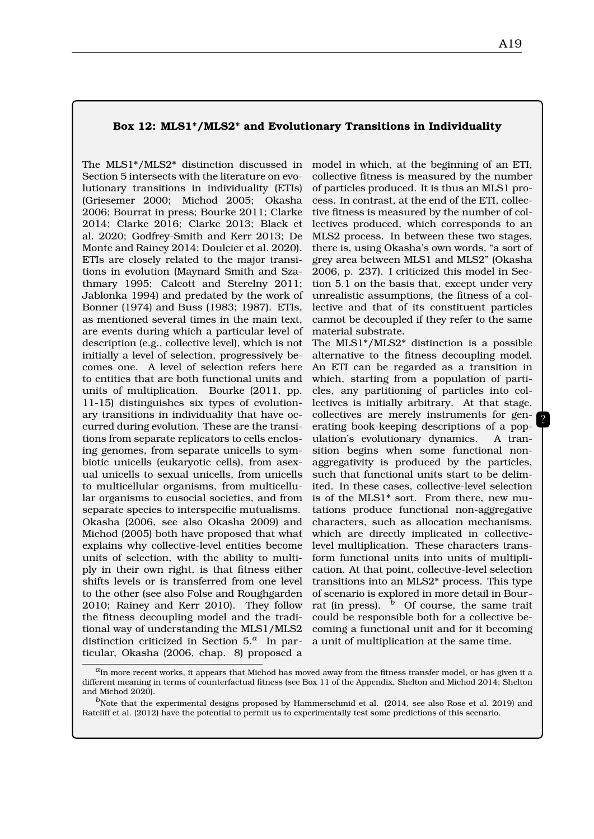#### **Box 12: MLS1\*/MLS2\* and Evolutionary Transitions in Individuality**

The MLS1\*/MLS2\* distinction discussed in Section 5 intersects with the literature on evolutionary transitions in individuality (ETIs) (Griesemer 2000; Michod 2005; Okasha 2006; Bourrat in press; Bourke 2011; Clarke 2014; Clarke 2016; Clarke 2013; Black et al. 2020; Godfrey-Smith and Kerr 2013; De Monte and Rainey 2014; Doulcier et al. 2020). ETIs are closely related to the major transitions in evolution (Maynard Smith and Szathmary 1995; Calcott and Sterelny 2011; Jablonka 1994) and predated by the work of Bonner (1974) and Buss (1983; 1987). ETIs, as mentioned several times in the main text, are events during which a particular level of description (e.g., collective level), which is not initially a level of selection, progressively becomes one. A level of selection refers here to entities that are both functional units and units of multiplication. Bourke (2011, pp. 11-15) distinguishes six types of evolutionary transitions in individuality that have occurred during evolution. These are the transitions from separate replicators to cells enclosing genomes, from separate unicells to symbiotic unicells (eukaryotic cells), from asexual unicells to sexual unicells, from unicells to multicellular organisms, from multicellular organisms to eusocial societies, and from separate species to interspecific mutualisms. Okasha (2006, see also Okasha 2009) and Michod (2005) both have proposed that what explains why collective-level entities become units of selection, with the ability to multiply in their own right, is that fitness either shifts levels or is transferred from one level to the other (see also Folse and Roughgarden 2010; Rainey and Kerr 2010). They follow the fitness decoupling model and the traditional way of understanding the MLS1/MLS2 distinction criticized in Section 5.*a* In particular, Okasha (2006, chap. 8) proposed a

model in which, at the beginning of an ETI, collective fitness is measured by the number of particles produced. It is thus an MLS1 process. In contrast, at the end of the ETI, collective fitness is measured by the number of collectives produced, which corresponds to an MLS2 process. In between these two stages, there is, using Okasha's own words, "a sort of grey area between MLS1 and MLS2" (Okasha 2006, p. 237). I criticized this model in Section 5.1 on the basis that, except under very unrealistic assumptions, the fitness of a collective and that of its constituent particles cannot be decoupled if they refer to the same material substrate.

The MLS1\*/MLS2\* distinction is a possible alternative to the fitness decoupling model. An ETI can be regarded as a transition in which, starting from a population of particles, any partitioning of particles into collectives is initially arbitrary. At that stage, collectives are merely instruments for generating book-keeping descriptions of a population's evolutionary dynamics. A transition begins when some functional nonaggregativity is produced by the particles, such that functional units start to be delimited. In these cases, collective-level selection is of the MLS1\* sort. From there, new mutations produce functional non-aggregative characters, such as allocation mechanisms, which are directly implicated in collectivelevel multiplication. These characters transform functional units into units of multiplication. At that point, collective-level selection transitions into an MLS2\* process. This type of scenario is explored in more detail in Bourrat (in press).  $\bar{b}$  Of course, the same trait could be responsible both for a collective becoming a functional unit and for it becoming a unit of multiplication at the same time.

 $a_{\rm In}$  more recent works, it appears that Michod has moved away from the fitness transfer model, or has given it a different meaning in terms of counterfactual fitness (see Box 11 of the Appendix, Shelton and Michod 2014; Shelton and Michod 2020).

<sup>&</sup>lt;sup>*b*</sup>Note that the experimental designs proposed by Hammerschmid et al. (2014, see also Rose et al. 2019) and Ratcliff et al. (2012) have the potential to permit us to experimentally test some predictions of this scenario.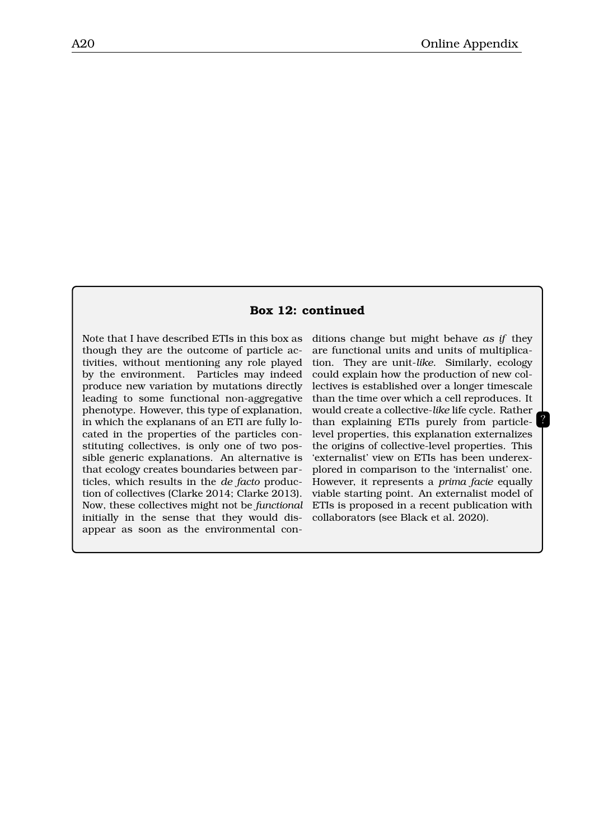#### **Box 12: continued**

Note that I have described ETIs in this box as though they are the outcome of particle activities, without mentioning any role played by the environment. Particles may indeed produce new variation by mutations directly leading to some functional non-aggregative phenotype. However, this type of explanation, in which the explanans of an ETI are fully located in the properties of the particles constituting collectives, is only one of two possible generic explanations. An alternative is that ecology creates boundaries between particles, which results in the *de facto* production of collectives (Clarke 2014; Clarke 2013). Now, these collectives might not be *functional* initially in the sense that they would disappear as soon as the environmental con-

ditions change but might behave *as if* they are functional units and units of multiplication. They are unit-*like*. Similarly, ecology could explain how the production of new collectives is established over a longer timescale than the time over which a cell reproduces. It would create a collective-*like* life cycle. Rather than explaining ETIs purely from particlelevel properties, this explanation externalizes the origins of collective-level properties. This 'externalist' view on ETIs has been underexplored in comparison to the 'internalist' one. However, it represents a *prima facie* equally viable starting point. An externalist model of ETIs is proposed in a recent publication with collaborators (see Black et al. 2020).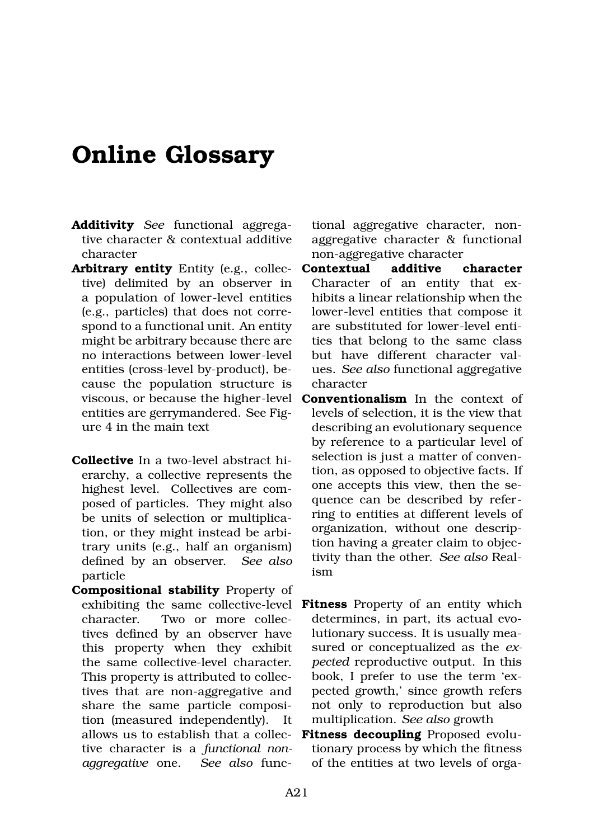### **Online Glossary**

- **Additivity** *See* functional aggregative character & contextual additive character
- **Arbitrary entity** Entity (e.g., collective) delimited by an observer in a population of lower-level entities (e.g., particles) that does not correspond to a functional unit. An entity might be arbitrary because there are no interactions between lower-level entities (cross-level by-product), because the population structure is viscous, or because the higher-level entities are gerrymandered. See Figure 4 in the main text
- **Collective** In a two-level abstract hierarchy, a collective represents the highest level. Collectives are composed of particles. They might also be units of selection or multiplication, or they might instead be arbitrary units (e.g., half an organism) defined by an observer. *See also* particle
- **Compositional stability** Property of exhibiting the same collective-level character. Two or more collectives defined by an observer have this property when they exhibit the same collective-level character. This property is attributed to collectives that are non-aggregative and share the same particle composition (measured independently). It allows us to establish that a collective character is a *functional nonaggregative* one. *See also* func-

tional aggregative character, nonaggregative character & functional non-aggregative character

- **Contextual additive character** Character of an entity that exhibits a linear relationship when the lower-level entities that compose it are substituted for lower-level entities that belong to the same class but have different character values. *See also* functional aggregative character
- **Conventionalism** In the context of levels of selection, it is the view that describing an evolutionary sequence by reference to a particular level of selection is just a matter of convention, as opposed to objective facts. If one accepts this view, then the sequence can be described by referring to entities at different levels of organization, without one description having a greater claim to objectivity than the other. *See also* Realism
- **Fitness** Property of an entity which determines, in part, its actual evolutionary success. It is usually measured or conceptualized as the *expected* reproductive output. In this book, I prefer to use the term 'expected growth,' since growth refers not only to reproduction but also multiplication. *See also* growth
- **Fitness decoupling** Proposed evolutionary process by which the fitness of the entities at two levels of orga-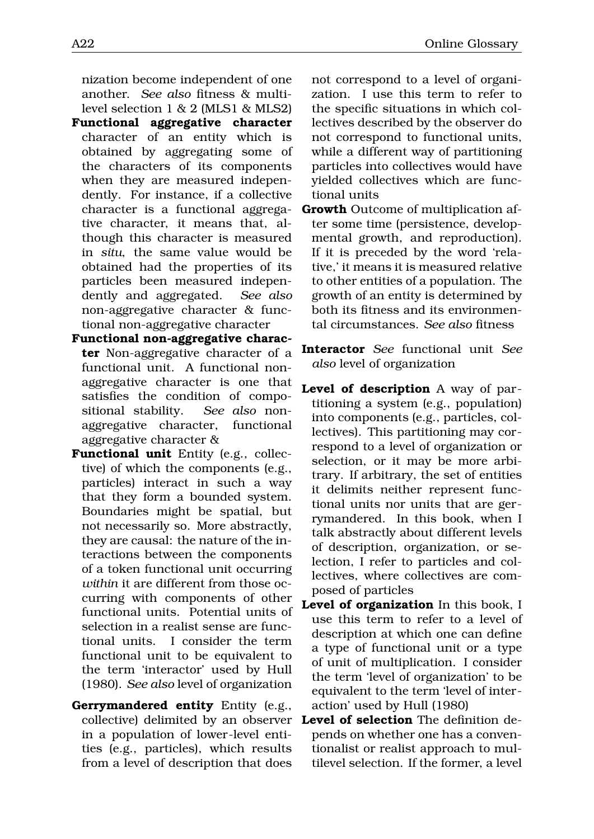nization become independent of one another. *See also* fitness & multilevel selection 1 & 2 (MLS1 & MLS2)

- **Functional aggregative character** character of an entity which is obtained by aggregating some of the characters of its components when they are measured independently. For instance, if a collective character is a functional aggregative character, it means that, although this character is measured in *situ*, the same value would be obtained had the properties of its particles been measured independently and aggregated. *See also* non-aggregative character & functional non-aggregative character
- **Functional non-aggregative character** Non-aggregative character of a functional unit. A functional nonaggregative character is one that satisfies the condition of compositional stability. *See also* nonaggregative character, functional aggregative character &
- **Functional unit** Entity (e.g., collective) of which the components (e.g., particles) interact in such a way that they form a bounded system. Boundaries might be spatial, but not necessarily so. More abstractly, they are causal: the nature of the interactions between the components of a token functional unit occurring *within* it are different from those occurring with components of other functional units. Potential units of selection in a realist sense are functional units. I consider the term functional unit to be equivalent to the term 'interactor' used by Hull (1980). *See also* level of organization
- **Gerrymandered entity** Entity (e.g., in a population of lower-level entities (e.g., particles), which results from a level of description that does

not correspond to a level of organization. I use this term to refer to the specific situations in which collectives described by the observer do not correspond to functional units, while a different way of partitioning particles into collectives would have yielded collectives which are functional units

- **Growth** Outcome of multiplication after some time (persistence, developmental growth, and reproduction). If it is preceded by the word 'relative,' it means it is measured relative to other entities of a population. The growth of an entity is determined by both its fitness and its environmental circumstances. *See also* fitness
- **Interactor** *See* functional unit *See also* level of organization
- **Level of description** A way of partitioning a system (e.g., population) into components (e.g., particles, collectives). This partitioning may correspond to a level of organization or selection, or it may be more arbitrary. If arbitrary, the set of entities it delimits neither represent functional units nor units that are gerrymandered. In this book, when I talk abstractly about different levels of description, organization, or selection, I refer to particles and collectives, where collectives are composed of particles
- **Level of organization** In this book, I use this term to refer to a level of description at which one can define a type of functional unit or a type of unit of multiplication. I consider the term 'level of organization' to be equivalent to the term 'level of interaction' used by Hull (1980)
- collective) delimited by an observer **Level of selection** The definition depends on whether one has a conventionalist or realist approach to multilevel selection. If the former, a level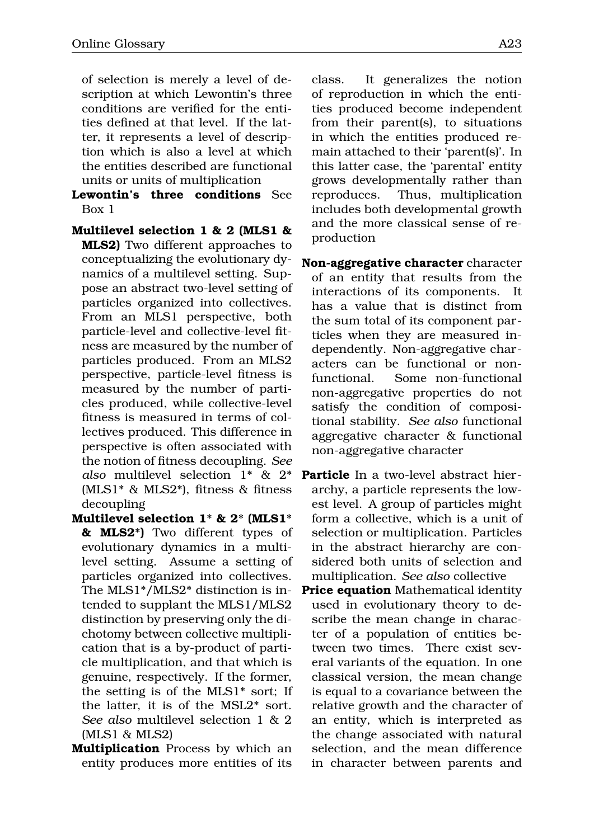of selection is merely a level of description at which Lewontin's three conditions are verified for the entities defined at that level. If the latter, it represents a level of description which is also a level at which the entities described are functional units or units of multiplication

- **Lewontin's three conditions** See Box 1
- **Multilevel selection 1 & 2 (MLS1 & MLS2)** Two different approaches to conceptualizing the evolutionary dynamics of a multilevel setting. Suppose an abstract two-level setting of particles organized into collectives. From an MLS1 perspective, both particle-level and collective-level fitness are measured by the number of particles produced. From an MLS2 perspective, particle-level fitness is measured by the number of particles produced, while collective-level fitness is measured in terms of collectives produced. This difference in perspective is often associated with the notion of fitness decoupling. *See also* multilevel selection 1\* & 2\* (MLS1\* & MLS2\*), fitness & fitness decoupling
- **Multilevel selection 1\* & 2\* (MLS1\* & MLS2\*)** Two different types of evolutionary dynamics in a multilevel setting. Assume a setting of particles organized into collectives. The MLS1\*/MLS2\* distinction is intended to supplant the MLS1/MLS2 distinction by preserving only the dichotomy between collective multiplication that is a by-product of particle multiplication, and that which is genuine, respectively. If the former, the setting is of the MLS1\* sort; If the latter, it is of the MSL2\* sort. *See also* multilevel selection 1 & 2 (MLS1 & MLS2)
- **Multiplication** Process by which an entity produces more entities of its

class. It generalizes the notion of reproduction in which the entities produced become independent from their parent(s), to situations in which the entities produced remain attached to their 'parent(s)'. In this latter case, the 'parental' entity grows developmentally rather than reproduces. Thus, multiplication includes both developmental growth and the more classical sense of reproduction

- **Non-aggregative character** character of an entity that results from the interactions of its components. It has a value that is distinct from the sum total of its component particles when they are measured independently. Non-aggregative characters can be functional or nonfunctional. Some non-functional non-aggregative properties do not satisfy the condition of compositional stability. *See also* functional aggregative character & functional non-aggregative character
- **Particle** In a two-level abstract hierarchy, a particle represents the lowest level. A group of particles might form a collective, which is a unit of selection or multiplication. Particles in the abstract hierarchy are considered both units of selection and multiplication. *See also* collective
- **Price equation** Mathematical identity used in evolutionary theory to describe the mean change in character of a population of entities between two times. There exist several variants of the equation. In one classical version, the mean change is equal to a covariance between the relative growth and the character of an entity, which is interpreted as the change associated with natural selection, and the mean difference in character between parents and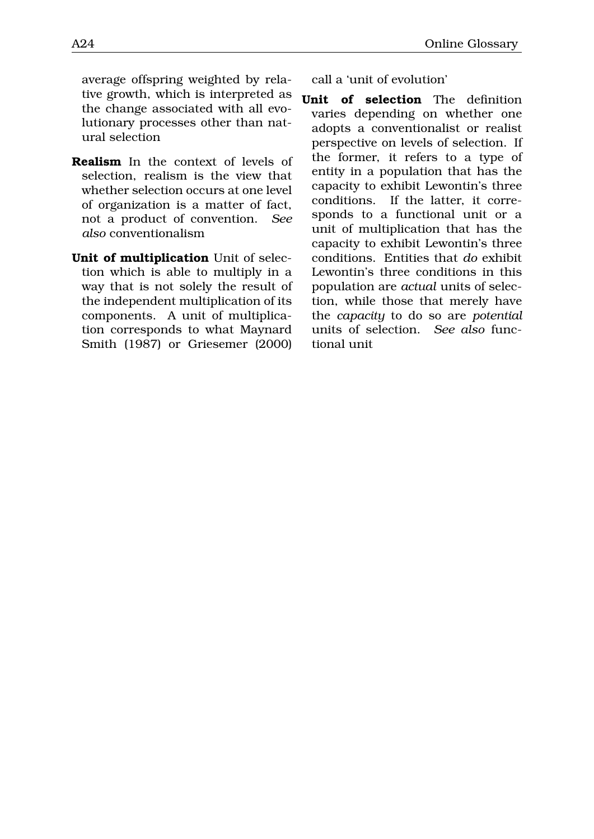average offspring weighted by relative growth, which is interpreted as the change associated with all evolutionary processes other than natural selection

- **Realism** In the context of levels of selection, realism is the view that whether selection occurs at one level of organization is a matter of fact, not a product of convention. *See also* conventionalism
- **Unit of multiplication** Unit of selection which is able to multiply in a way that is not solely the result of the independent multiplication of its components. A unit of multiplication corresponds to what Maynard Smith (1987) or Griesemer (2000)

call a 'unit of evolution'

**Unit of selection** The definition varies depending on whether one adopts a conventionalist or realist perspective on levels of selection. If the former, it refers to a type of entity in a population that has the capacity to exhibit Lewontin's three conditions. If the latter, it corresponds to a functional unit or a unit of multiplication that has the capacity to exhibit Lewontin's three conditions. Entities that *do* exhibit Lewontin's three conditions in this population are *actual* units of selection, while those that merely have the *capacity* to do so are *potential* units of selection. *See also* functional unit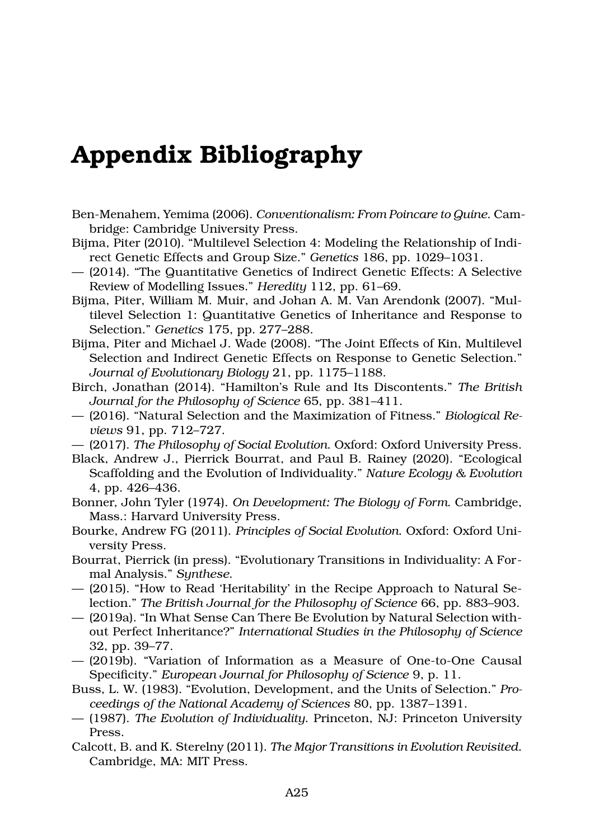## **Appendix Bibliography**

- Ben-Menahem, Yemima (2006). *Conventionalism: From Poincare to Quine*. Cambridge: Cambridge University Press.
- Bijma, Piter (2010). "Multilevel Selection 4: Modeling the Relationship of Indirect Genetic Effects and Group Size." *Genetics* 186, pp. 1029–1031.
- (2014). "The Quantitative Genetics of Indirect Genetic Effects: A Selective Review of Modelling Issues." *Heredity* 112, pp. 61–69.
- Bijma, Piter, William M. Muir, and Johan A. M. Van Arendonk (2007). "Multilevel Selection 1: Quantitative Genetics of Inheritance and Response to Selection." *Genetics* 175, pp. 277–288.
- Bijma, Piter and Michael J. Wade (2008). "The Joint Effects of Kin, Multilevel Selection and Indirect Genetic Effects on Response to Genetic Selection." *Journal of Evolutionary Biology* 21, pp. 1175–1188.
- Birch, Jonathan (2014). "Hamilton's Rule and Its Discontents." *The British Journal for the Philosophy of Science* 65, pp. 381–411.
- (2016). "Natural Selection and the Maximization of Fitness." *Biological Reviews* 91, pp. 712–727.
- (2017). *The Philosophy of Social Evolution*. Oxford: Oxford University Press.
- Black, Andrew J., Pierrick Bourrat, and Paul B. Rainey (2020). "Ecological Scaffolding and the Evolution of Individuality." *Nature Ecology & Evolution* 4, pp. 426–436.
- Bonner, John Tyler (1974). *On Development: The Biology of Form*. Cambridge, Mass.: Harvard University Press.
- Bourke, Andrew FG (2011). *Principles of Social Evolution*. Oxford: Oxford University Press.
- Bourrat, Pierrick (in press). "Evolutionary Transitions in Individuality: A Formal Analysis." *Synthese*.
- (2015). "How to Read 'Heritability' in the Recipe Approach to Natural Selection." *The British Journal for the Philosophy of Science* 66, pp. 883–903.
- (2019a). "In What Sense Can There Be Evolution by Natural Selection without Perfect Inheritance?" *International Studies in the Philosophy of Science* 32, pp. 39–77.
- (2019b). "Variation of Information as a Measure of One-to-One Causal Specificity." *European Journal for Philosophy of Science* 9, p. 11.
- Buss, L. W. (1983). "Evolution, Development, and the Units of Selection." *Proceedings of the National Academy of Sciences* 80, pp. 1387–1391.
- (1987). *The Evolution of Individuality*. Princeton, NJ: Princeton University Press.
- Calcott, B. and K. Sterelny (2011). *The Major Transitions in Evolution Revisited*. Cambridge, MA: MIT Press.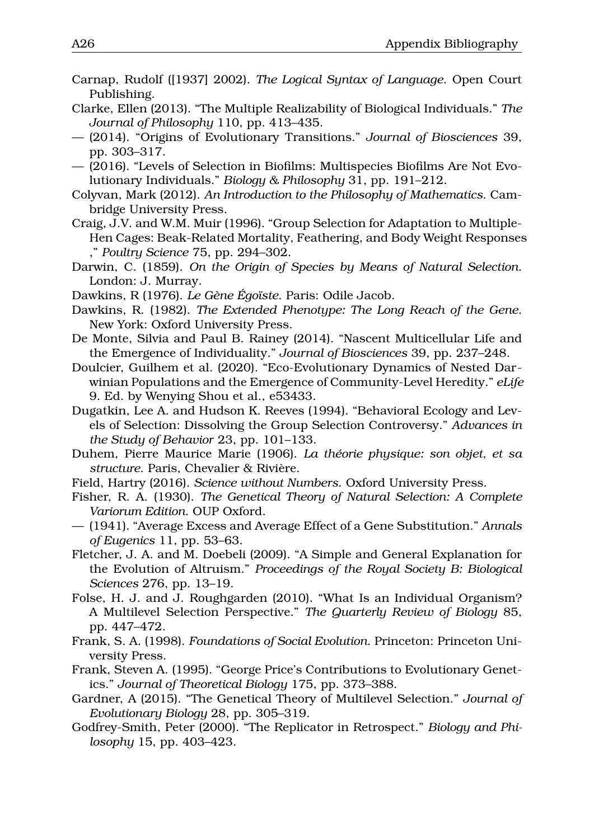- Carnap, Rudolf ([1937] 2002). *The Logical Syntax of Language*. Open Court Publishing.
- Clarke, Ellen (2013). "The Multiple Realizability of Biological Individuals." *The Journal of Philosophy* 110, pp. 413–435.
- (2014). "Origins of Evolutionary Transitions." *Journal of Biosciences* 39, pp. 303–317.
- (2016). "Levels of Selection in Biofilms: Multispecies Biofilms Are Not Evolutionary Individuals." *Biology & Philosophy* 31, pp. 191–212.
- Colyvan, Mark (2012). *An Introduction to the Philosophy of Mathematics*. Cambridge University Press.
- Craig, J.V. and W.M. Muir (1996). "Group Selection for Adaptation to Multiple-Hen Cages: Beak-Related Mortality, Feathering, and Body Weight Responses ," *Poultry Science* 75, pp. 294–302.
- Darwin, C. (1859). *On the Origin of Species by Means of Natural Selection*. London: J. Murray.
- Dawkins, R (1976). *Le Gène Égoïste*. Paris: Odile Jacob.
- Dawkins, R. (1982). *The Extended Phenotype: The Long Reach of the Gene*. New York: Oxford University Press.
- De Monte, Silvia and Paul B. Rainey (2014). "Nascent Multicellular Life and the Emergence of Individuality." *Journal of Biosciences* 39, pp. 237–248.
- Doulcier, Guilhem et al. (2020). "Eco-Evolutionary Dynamics of Nested Darwinian Populations and the Emergence of Community-Level Heredity." *eLife* 9. Ed. by Wenying Shou et al., e53433.
- Dugatkin, Lee A. and Hudson K. Reeves (1994). "Behavioral Ecology and Levels of Selection: Dissolving the Group Selection Controversy." *Advances in the Study of Behavior* 23, pp. 101–133.
- Duhem, Pierre Maurice Marie (1906). *La théorie physique: son objet, et sa structure*. Paris, Chevalier & Rivière.
- Field, Hartry (2016). *Science without Numbers*. Oxford University Press.
- Fisher, R. A. (1930). *The Genetical Theory of Natural Selection: A Complete Variorum Edition*. OUP Oxford.
- (1941). "Average Excess and Average Effect of a Gene Substitution." *Annals of Eugenics* 11, pp. 53–63.
- Fletcher, J. A. and M. Doebeli (2009). "A Simple and General Explanation for the Evolution of Altruism." *Proceedings of the Royal Society B: Biological Sciences* 276, pp. 13–19.
- Folse, H. J. and J. Roughgarden (2010). "What Is an Individual Organism? A Multilevel Selection Perspective." *The Quarterly Review of Biology* 85, pp. 447–472.
- Frank, S. A. (1998). *Foundations of Social Evolution*. Princeton: Princeton University Press.
- Frank, Steven A. (1995). "George Price's Contributions to Evolutionary Genetics." *Journal of Theoretical Biology* 175, pp. 373–388.
- Gardner, A (2015). "The Genetical Theory of Multilevel Selection." *Journal of Evolutionary Biology* 28, pp. 305–319.
- Godfrey-Smith, Peter (2000). "The Replicator in Retrospect." *Biology and Philosophy* 15, pp. 403–423.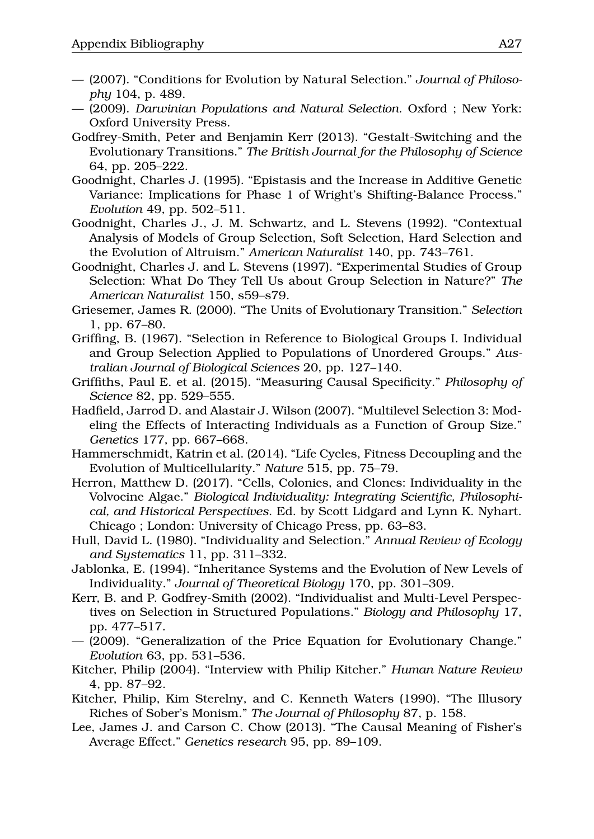- (2007). "Conditions for Evolution by Natural Selection." *Journal of Philosophy* 104, p. 489.
- (2009). *Darwinian Populations and Natural Selection*. Oxford ; New York: Oxford University Press.
- Godfrey-Smith, Peter and Benjamin Kerr (2013). "Gestalt-Switching and the Evolutionary Transitions." *The British Journal for the Philosophy of Science* 64, pp. 205–222.
- Goodnight, Charles J. (1995). "Epistasis and the Increase in Additive Genetic Variance: Implications for Phase 1 of Wright's Shifting-Balance Process." *Evolution* 49, pp. 502–511.
- Goodnight, Charles J., J. M. Schwartz, and L. Stevens (1992). "Contextual Analysis of Models of Group Selection, Soft Selection, Hard Selection and the Evolution of Altruism." *American Naturalist* 140, pp. 743–761.
- Goodnight, Charles J. and L. Stevens (1997). "Experimental Studies of Group Selection: What Do They Tell Us about Group Selection in Nature?" *The American Naturalist* 150, s59–s79.
- Griesemer, James R. (2000). "The Units of Evolutionary Transition." *Selection* 1, pp. 67–80.
- Griffing, B. (1967). "Selection in Reference to Biological Groups I. Individual and Group Selection Applied to Populations of Unordered Groups." *Australian Journal of Biological Sciences* 20, pp. 127–140.
- Griffiths, Paul E. et al. (2015). "Measuring Causal Specificity." *Philosophy of Science* 82, pp. 529–555.
- Hadfield, Jarrod D. and Alastair J. Wilson (2007). "Multilevel Selection 3: Modeling the Effects of Interacting Individuals as a Function of Group Size." *Genetics* 177, pp. 667–668.
- Hammerschmidt, Katrin et al. (2014). "Life Cycles, Fitness Decoupling and the Evolution of Multicellularity." *Nature* 515, pp. 75–79.
- Herron, Matthew D. (2017). "Cells, Colonies, and Clones: Individuality in the Volvocine Algae." *Biological Individuality: Integrating Scientific, Philosophical, and Historical Perspectives*. Ed. by Scott Lidgard and Lynn K. Nyhart. Chicago ; London: University of Chicago Press, pp. 63–83.
- Hull, David L. (1980). "Individuality and Selection." *Annual Review of Ecology and Systematics* 11, pp. 311–332.
- Jablonka, E. (1994). "Inheritance Systems and the Evolution of New Levels of Individuality." *Journal of Theoretical Biology* 170, pp. 301–309.
- Kerr, B. and P. Godfrey-Smith (2002). "Individualist and Multi-Level Perspectives on Selection in Structured Populations." *Biology and Philosophy* 17, pp. 477–517.
- (2009). "Generalization of the Price Equation for Evolutionary Change." *Evolution* 63, pp. 531–536.
- Kitcher, Philip (2004). "Interview with Philip Kitcher." *Human Nature Review* 4, pp. 87–92.
- Kitcher, Philip, Kim Sterelny, and C. Kenneth Waters (1990). "The Illusory Riches of Sober's Monism." *The Journal of Philosophy* 87, p. 158.
- Lee, James J. and Carson C. Chow (2013). "The Causal Meaning of Fisher's Average Effect." *Genetics research* 95, pp. 89–109.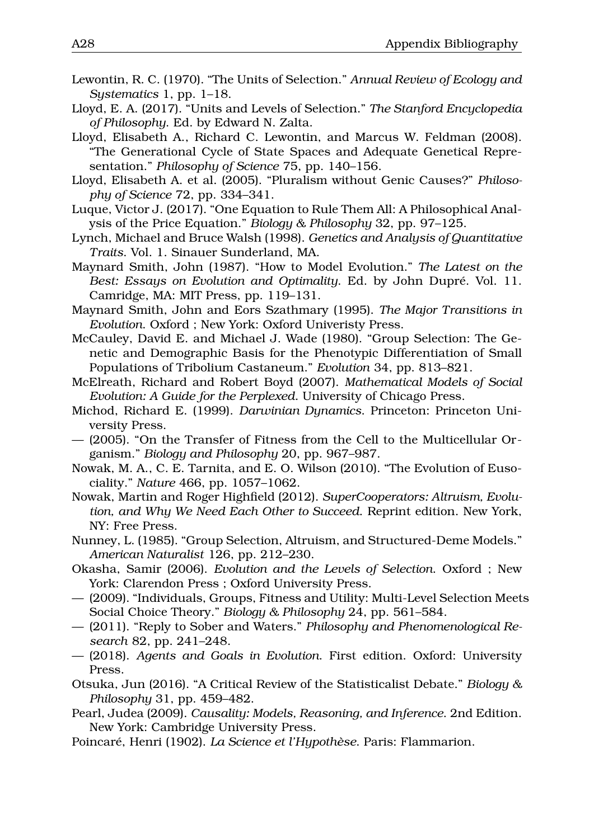- Lewontin, R. C. (1970). "The Units of Selection." *Annual Review of Ecology and Systematics* 1, pp. 1–18.
- Lloyd, E. A. (2017). "Units and Levels of Selection." *The Stanford Encyclopedia of Philosophy*. Ed. by Edward N. Zalta.
- Lloyd, Elisabeth A., Richard C. Lewontin, and Marcus W. Feldman (2008). "The Generational Cycle of State Spaces and Adequate Genetical Representation." *Philosophy of Science* 75, pp. 140–156.
- Lloyd, Elisabeth A. et al. (2005). "Pluralism without Genic Causes?" *Philosophy of Science* 72, pp. 334–341.
- Luque, Victor J. (2017). "One Equation to Rule Them All: A Philosophical Analysis of the Price Equation." *Biology & Philosophy* 32, pp. 97–125.
- Lynch, Michael and Bruce Walsh (1998). *Genetics and Analysis of Quantitative Traits*. Vol. 1. Sinauer Sunderland, MA.
- Maynard Smith, John (1987). "How to Model Evolution." *The Latest on the Best: Essays on Evolution and Optimality*. Ed. by John Dupré. Vol. 11. Camridge, MA: MIT Press, pp. 119–131.
- Maynard Smith, John and Eors Szathmary (1995). *The Major Transitions in Evolution*. Oxford ; New York: Oxford Univeristy Press.
- McCauley, David E. and Michael J. Wade (1980). "Group Selection: The Genetic and Demographic Basis for the Phenotypic Differentiation of Small Populations of Tribolium Castaneum." *Evolution* 34, pp. 813–821.
- McElreath, Richard and Robert Boyd (2007). *Mathematical Models of Social Evolution: A Guide for the Perplexed*. University of Chicago Press.
- Michod, Richard E. (1999). *Darwinian Dynamics*. Princeton: Princeton University Press.
- (2005). "On the Transfer of Fitness from the Cell to the Multicellular Organism." *Biology and Philosophy* 20, pp. 967–987.
- Nowak, M. A., C. E. Tarnita, and E. O. Wilson (2010). "The Evolution of Eusociality." *Nature* 466, pp. 1057–1062.
- Nowak, Martin and Roger Highfield (2012). *SuperCooperators: Altruism, Evolution, and Why We Need Each Other to Succeed*. Reprint edition. New York, NY: Free Press.
- Nunney, L. (1985). "Group Selection, Altruism, and Structured-Deme Models." *American Naturalist* 126, pp. 212–230.
- Okasha, Samir (2006). *Evolution and the Levels of Selection*. Oxford ; New York: Clarendon Press ; Oxford University Press.
- (2009). "Individuals, Groups, Fitness and Utility: Multi-Level Selection Meets Social Choice Theory." *Biology & Philosophy* 24, pp. 561–584.
- (2011). "Reply to Sober and Waters." *Philosophy and Phenomenological Research* 82, pp. 241–248.
- (2018). *Agents and Goals in Evolution*. First edition. Oxford: University Press.
- Otsuka, Jun (2016). "A Critical Review of the Statisticalist Debate." *Biology & Philosophy* 31, pp. 459–482.
- Pearl, Judea (2009). *Causality: Models, Reasoning, and Inference*. 2nd Edition. New York: Cambridge University Press.
- Poincaré, Henri (1902). *La Science et l'Hypothèse*. Paris: Flammarion.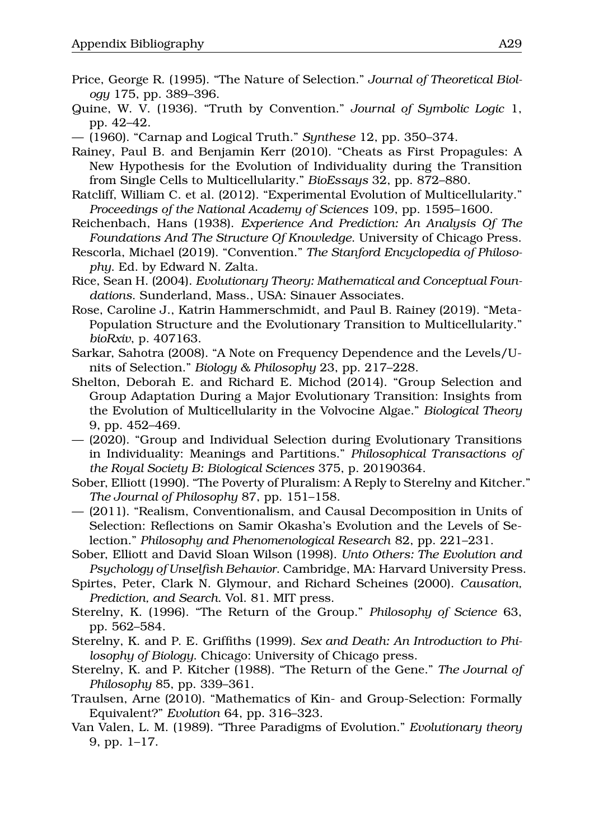- Price, George R. (1995). "The Nature of Selection." *Journal of Theoretical Biology* 175, pp. 389–396.
- Quine, W. V. (1936). "Truth by Convention." *Journal of Symbolic Logic* 1, pp. 42–42.
- (1960). "Carnap and Logical Truth." *Synthese* 12, pp. 350–374.
- Rainey, Paul B. and Benjamin Kerr (2010). "Cheats as First Propagules: A New Hypothesis for the Evolution of Individuality during the Transition from Single Cells to Multicellularity." *BioEssays* 32, pp. 872–880.
- Ratcliff, William C. et al. (2012). "Experimental Evolution of Multicellularity." *Proceedings of the National Academy of Sciences* 109, pp. 1595–1600.
- Reichenbach, Hans (1938). *Experience And Prediction: An Analysis Of The Foundations And The Structure Of Knowledge*. University of Chicago Press.
- Rescorla, Michael (2019). "Convention." *The Stanford Encyclopedia of Philosophy*. Ed. by Edward N. Zalta.
- Rice, Sean H. (2004). *Evolutionary Theory: Mathematical and Conceptual Foundations*. Sunderland, Mass., USA: Sinauer Associates.
- Rose, Caroline J., Katrin Hammerschmidt, and Paul B. Rainey (2019). "Meta-Population Structure and the Evolutionary Transition to Multicellularity." *bioRxiv*, p. 407163.
- Sarkar, Sahotra (2008). "A Note on Frequency Dependence and the Levels/Units of Selection." *Biology & Philosophy* 23, pp. 217–228.
- Shelton, Deborah E. and Richard E. Michod (2014). "Group Selection and Group Adaptation During a Major Evolutionary Transition: Insights from the Evolution of Multicellularity in the Volvocine Algae." *Biological Theory* 9, pp. 452–469.
- (2020). "Group and Individual Selection during Evolutionary Transitions in Individuality: Meanings and Partitions." *Philosophical Transactions of the Royal Society B: Biological Sciences* 375, p. 20190364.
- Sober, Elliott (1990). "The Poverty of Pluralism: A Reply to Sterelny and Kitcher." *The Journal of Philosophy* 87, pp. 151–158.
- (2011). "Realism, Conventionalism, and Causal Decomposition in Units of Selection: Reflections on Samir Okasha's Evolution and the Levels of Selection." *Philosophy and Phenomenological Research* 82, pp. 221–231.
- Sober, Elliott and David Sloan Wilson (1998). *Unto Others: The Evolution and Psychology of Unselfish Behavior*. Cambridge, MA: Harvard University Press.
- Spirtes, Peter, Clark N. Glymour, and Richard Scheines (2000). *Causation, Prediction, and Search*. Vol. 81. MIT press.
- Sterelny, K. (1996). "The Return of the Group." *Philosophy of Science* 63, pp. 562–584.
- Sterelny, K. and P. E. Griffiths (1999). *Sex and Death: An Introduction to Philosophy of Biology*. Chicago: University of Chicago press.
- Sterelny, K. and P. Kitcher (1988). "The Return of the Gene." *The Journal of Philosophy* 85, pp. 339–361.
- Traulsen, Arne (2010). "Mathematics of Kin- and Group-Selection: Formally Equivalent?" *Evolution* 64, pp. 316–323.
- Van Valen, L. M. (1989). "Three Paradigms of Evolution." *Evolutionary theory* 9, pp. 1–17.